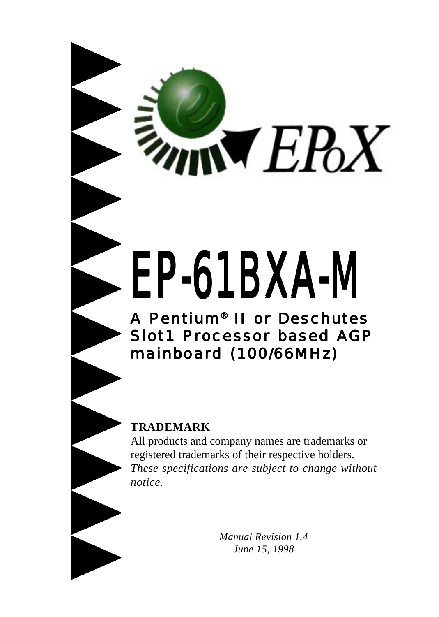# EP-61BXA-M

 $m$   $EFAX$ 

A Pentium® II or Deschutes Slot1 Processor based AGP mainboard (100/66MHz)

#### **TRADEMARK**

All products and company names are trademarks or registered trademarks of their respective holders. *These specifications are subject to change without notice.*

> *Manual Revision 1.4 June 15, 1998*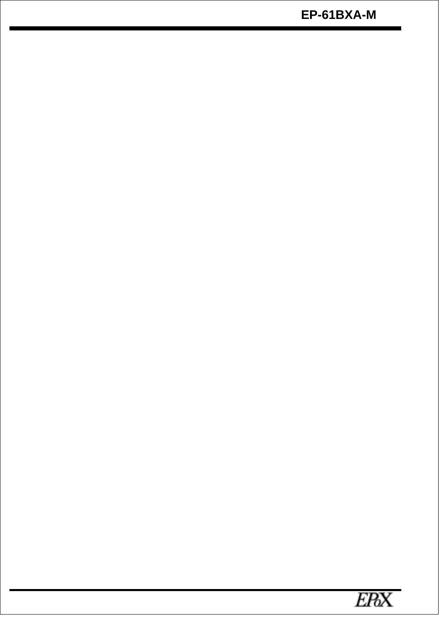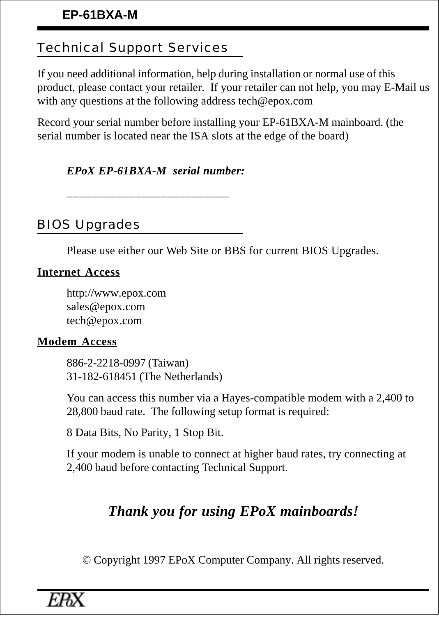#### Technical Support Services

If you need additional information, help during installation or normal use of this product, please contact your retailer. If your retailer can not help, you may E-Mail us with any questions at the following address tech@epox.com

Record your serial number before installing your EP-61BXA-M mainboard. (the serial number is located near the ISA slots at the edge of the board)

#### *EPoX EP-61BXA-M serial number:*

\_\_\_\_\_\_\_\_\_\_\_\_\_\_\_\_\_\_\_\_\_\_\_\_\_\_

BIOS Upgrades

Please use either our Web Site or BBS for current BIOS Upgrades.

#### **Internet Access**

http://www.epox.com sales@epox.com tech@epox.com

#### **Modem Access**

886-2-2218-0997 (Taiwan) 31-182-618451 (The Netherlands)

You can access this number via a Hayes-compatible modem with a 2,400 to 28,800 baud rate. The following setup format is required:

8 Data Bits, No Parity, 1 Stop Bit.

If your modem is unable to connect at higher baud rates, try connecting at 2,400 baud before contacting Technical Support.

## *Thank you for using EPoX mainboards!*

© Copyright 1997 EPoX Computer Company. All rights reserved.

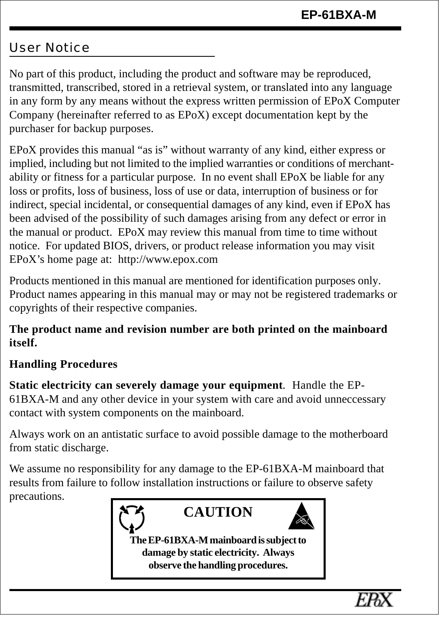#### User Notice

No part of this product, including the product and software may be reproduced, transmitted, transcribed, stored in a retrieval system, or translated into any language in any form by any means without the express written permission of EPoX Computer Company (hereinafter referred to as EPoX) except documentation kept by the purchaser for backup purposes.

EPoX provides this manual "as is" without warranty of any kind, either express or implied, including but not limited to the implied warranties or conditions of merchantability or fitness for a particular purpose. In no event shall EPoX be liable for any loss or profits, loss of business, loss of use or data, interruption of business or for indirect, special incidental, or consequential damages of any kind, even if EPoX has been advised of the possibility of such damages arising from any defect or error in the manual or product. EPoX may review this manual from time to time without notice. For updated BIOS, drivers, or product release information you may visit EPoX's home page at: http://www.epox.com

Products mentioned in this manual are mentioned for identification purposes only. Product names appearing in this manual may or may not be registered trademarks or copyrights of their respective companies.

#### **The product name and revision number are both printed on the mainboard itself.**

#### **Handling Procedures**

**Static electricity can severely damage your equipment**. Handle the EP-61BXA-M and any other device in your system with care and avoid unneccessary contact with system components on the mainboard.

Always work on an antistatic surface to avoid possible damage to the motherboard from static discharge.

We assume no responsibility for any damage to the EP-61BXA-M mainboard that results from failure to follow installation instructions or failure to observe safety precautions.



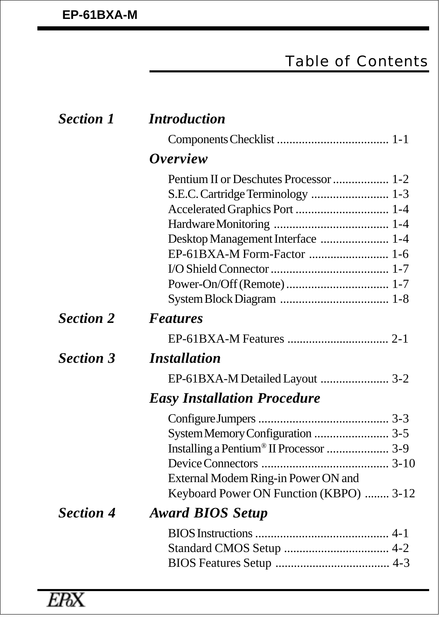# Table of Contents

| <b>Section 1</b> | <i>Introduction</i>                     |  |  |  |  |  |  |
|------------------|-----------------------------------------|--|--|--|--|--|--|
|                  |                                         |  |  |  |  |  |  |
|                  | Overview                                |  |  |  |  |  |  |
|                  | Pentium II or Deschutes Processor  1-2  |  |  |  |  |  |  |
|                  |                                         |  |  |  |  |  |  |
|                  |                                         |  |  |  |  |  |  |
|                  |                                         |  |  |  |  |  |  |
|                  | Desktop Management Interface  1-4       |  |  |  |  |  |  |
|                  |                                         |  |  |  |  |  |  |
|                  |                                         |  |  |  |  |  |  |
|                  |                                         |  |  |  |  |  |  |
|                  |                                         |  |  |  |  |  |  |
| <b>Section 2</b> | <b>Features</b>                         |  |  |  |  |  |  |
|                  |                                         |  |  |  |  |  |  |
| <b>Section 3</b> | <i><b>Installation</b></i>              |  |  |  |  |  |  |
|                  | EP-61BXA-M Detailed Layout  3-2         |  |  |  |  |  |  |
|                  | <b>Easy Installation Procedure</b>      |  |  |  |  |  |  |
|                  |                                         |  |  |  |  |  |  |
|                  |                                         |  |  |  |  |  |  |
|                  | Installing a Pentium® II Processor  3-9 |  |  |  |  |  |  |
|                  |                                         |  |  |  |  |  |  |
|                  | External Modem Ring-in Power ON and     |  |  |  |  |  |  |
|                  | Keyboard Power ON Function (KBPO)  3-12 |  |  |  |  |  |  |
| <b>Section 4</b> | <b>Award BIOS Setup</b>                 |  |  |  |  |  |  |
|                  |                                         |  |  |  |  |  |  |
|                  |                                         |  |  |  |  |  |  |
|                  |                                         |  |  |  |  |  |  |

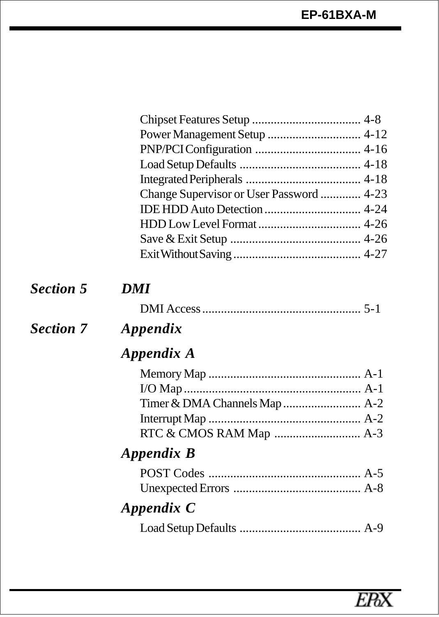|                  | Change Supervisor or User Password  4-23 |  |
|------------------|------------------------------------------|--|
|                  |                                          |  |
|                  |                                          |  |
|                  |                                          |  |
|                  |                                          |  |
| <b>Section 5</b> | DMI                                      |  |
|                  |                                          |  |
| <b>Section 7</b> | <i><b>Appendix</b></i>                   |  |
|                  | Appendix A                               |  |
|                  |                                          |  |
|                  |                                          |  |
|                  |                                          |  |
|                  |                                          |  |
|                  | RTC & CMOS RAM Map  A-3                  |  |
|                  | Appendix B                               |  |
|                  |                                          |  |
|                  |                                          |  |
|                  | Appendix C                               |  |
|                  |                                          |  |
|                  |                                          |  |

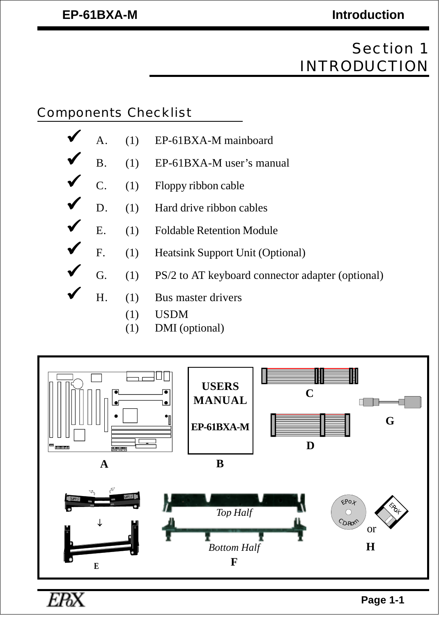## Section 1 INTRODUCTION

#### Components Checklist

- A. (1) EP-61BXA-M mainboard
- B. (1) EP-61BXA-M user's manual
- C. (1) Floppy ribbon cable
- D. (1) Hard drive ribbon cables
	- E. (1) Foldable Retention Module
		- F. (1) Heatsink Support Unit (Optional)
		- G. (1) PS/2 to AT keyboard connector adapter (optional)
	- H. (1) Bus master drivers
		- (1) USDM
		- (1) DMI (optional)



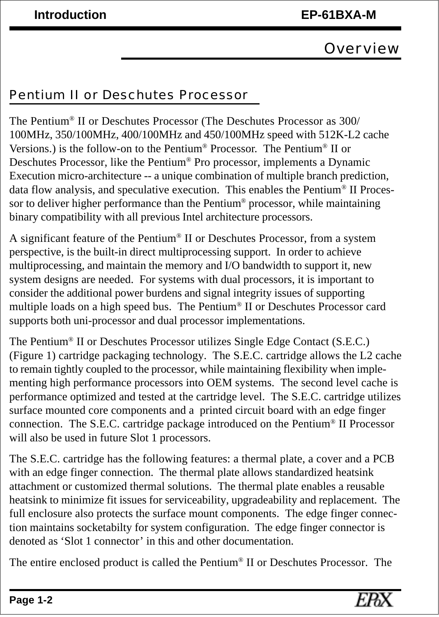## Overview

## Pentium II or Deschutes Processor

The Pentium® II or Deschutes Processor (The Deschutes Processor as 300/ 100MHz, 350/100MHz, 400/100MHz and 450/100MHz speed with 512K-L2 cache Versions.) is the follow-on to the Pentium® Processor. The Pentium® II or Deschutes Processor, like the Pentium® Pro processor, implements a Dynamic Execution micro-architecture -- a unique combination of multiple branch prediction, data flow analysis, and speculative execution. This enables the Pentium® II Processor to deliver higher performance than the Pentium® processor, while maintaining binary compatibility with all previous Intel architecture processors.

A significant feature of the Pentium® II or Deschutes Processor, from a system perspective, is the built-in direct multiprocessing support. In order to achieve multiprocessing, and maintain the memory and I/O bandwidth to support it, new system designs are needed. For systems with dual processors, it is important to consider the additional power burdens and signal integrity issues of supporting multiple loads on a high speed bus. The Pentium® II or Deschutes Processor card supports both uni-processor and dual processor implementations.

The Pentium® II or Deschutes Processor utilizes Single Edge Contact (S.E.C.) (Figure 1) cartridge packaging technology. The S.E.C. cartridge allows the L2 cache to remain tightly coupled to the processor, while maintaining flexibility when implementing high performance processors into OEM systems. The second level cache is performance optimized and tested at the cartridge level. The S.E.C. cartridge utilizes surface mounted core components and a printed circuit board with an edge finger connection. The S.E.C. cartridge package introduced on the Pentium® II Processor will also be used in future Slot 1 processors.

The S.E.C. cartridge has the following features: a thermal plate, a cover and a PCB with an edge finger connection. The thermal plate allows standardized heatsink attachment or customized thermal solutions. The thermal plate enables a reusable heatsink to minimize fit issues for serviceability, upgradeability and replacement. The full enclosure also protects the surface mount components. The edge finger connection maintains socketabilty for system configuration. The edge finger connector is denoted as 'Slot 1 connector' in this and other documentation.

The entire enclosed product is called the Pentium® II or Deschutes Processor. The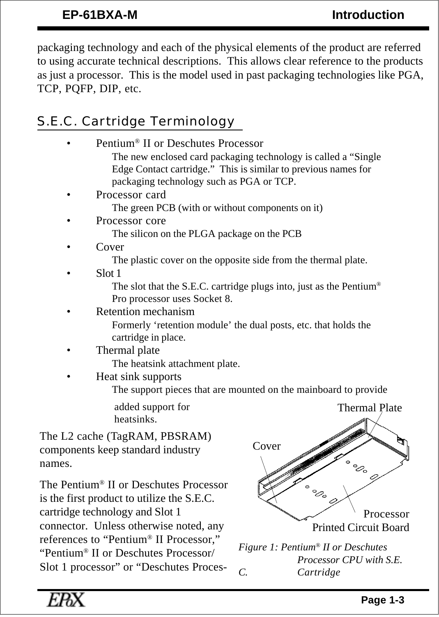packaging technology and each of the physical elements of the product are referred to using accurate technical descriptions. This allows clear reference to the products as just a processor. This is the model used in past packaging technologies like PGA, TCP, PQFP, DIP, etc.

#### S.E.C. Cartridge Terminology

• Pentium® II or Deschutes Processor The new enclosed card packaging technology is called a "Single Edge Contact cartridge." This is similar to previous names for packaging technology such as PGA or TCP.

Processor card The green PCB (with or without components on it)

- Processor core The silicon on the PLGA package on the PCB
- **Cover**

The plastic cover on the opposite side from the thermal plate.

• Slot 1

The slot that the S.E.C. cartridge plugs into, just as the Pentium<sup>®</sup> Pro processor uses Socket 8.

• Retention mechanism

Formerly 'retention module' the dual posts, etc. that holds the cartridge in place.

- Thermal plate The heatsink attachment plate.
- Heat sink supports

The support pieces that are mounted on the mainboard to provide

added support for heatsinks.

The L2 cache (TagRAM, PBSRAM) components keep standard industry names.

The Pentium® II or Deschutes Processor is the first product to utilize the S.E.C. cartridge technology and Slot 1 connector. Unless otherwise noted, any references to "Pentium® II Processor," "Pentium® II or Deschutes Processor/ Slot 1 processor" or "Deschutes Proces-





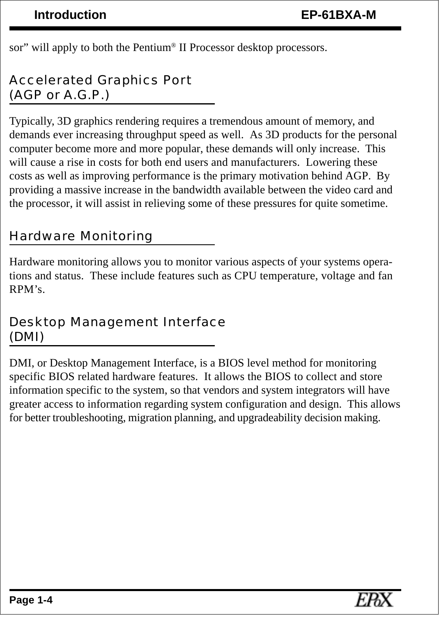sor" will apply to both the Pentium® II Processor desktop processors.

Accelerated Graphics Port (AGP or A.G.P.)

Typically, 3D graphics rendering requires a tremendous amount of memory, and demands ever increasing throughput speed as well. As 3D products for the personal computer become more and more popular, these demands will only increase. This will cause a rise in costs for both end users and manufacturers. Lowering these costs as well as improving performance is the primary motivation behind AGP. By providing a massive increase in the bandwidth available between the video card and the processor, it will assist in relieving some of these pressures for quite sometime.

#### Hardware Monitoring

Hardware monitoring allows you to monitor various aspects of your systems operations and status. These include features such as CPU temperature, voltage and fan RPM's.

Desktop Management Interface (DMI)

DMI, or Desktop Management Interface, is a BIOS level method for monitoring specific BIOS related hardware features. It allows the BIOS to collect and store information specific to the system, so that vendors and system integrators will have greater access to information regarding system configuration and design. This allows for better troubleshooting, migration planning, and upgradeability decision making.

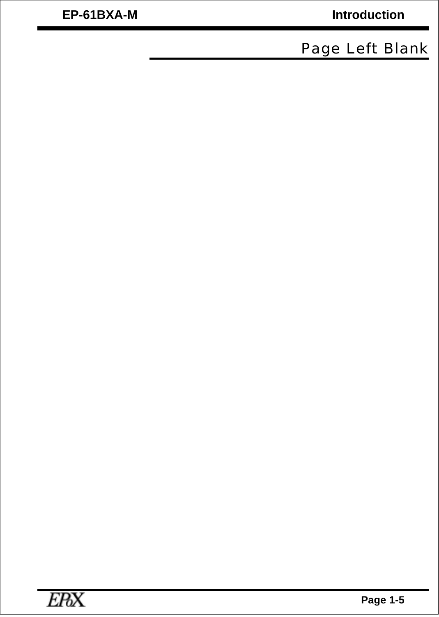# Page Left Blank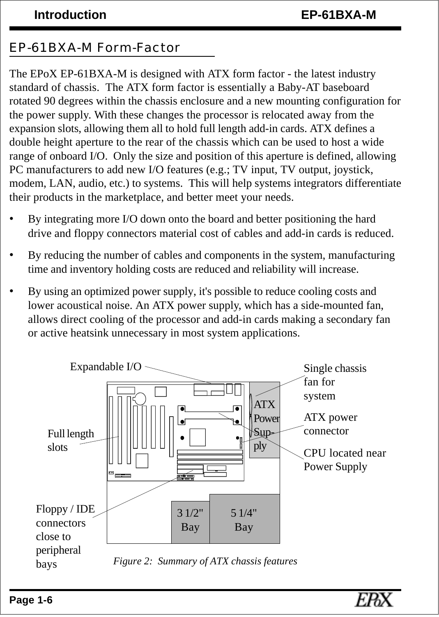#### EP-61BXA-M Form-Factor

The EPoX EP-61BXA-M is designed with ATX form factor - the latest industry standard of chassis. The ATX form factor is essentially a Baby-AT baseboard rotated 90 degrees within the chassis enclosure and a new mounting configuration for the power supply. With these changes the processor is relocated away from the expansion slots, allowing them all to hold full length add-in cards. ATX defines a double height aperture to the rear of the chassis which can be used to host a wide range of onboard I/O. Only the size and position of this aperture is defined, allowing PC manufacturers to add new I/O features (e.g.; TV input, TV output, joystick, modem, LAN, audio, etc.) to systems. This will help systems integrators differentiate their products in the marketplace, and better meet your needs.

- By integrating more I/O down onto the board and better positioning the hard drive and floppy connectors material cost of cables and add-in cards is reduced.
- By reducing the number of cables and components in the system, manufacturing time and inventory holding costs are reduced and reliability will increase.
- By using an optimized power supply, it's possible to reduce cooling costs and lower acoustical noise. An ATX power supply, which has a side-mounted fan, allows direct cooling of the processor and add-in cards making a secondary fan or active heatsink unnecessary in most system applications.



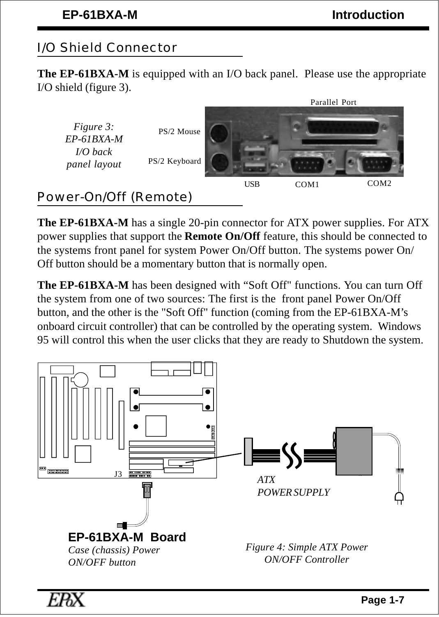#### I/O Shield Connector

**The EP-61BXA-M** is equipped with an I/O back panel. Please use the appropriate I/O shield (figure 3).



**The EP-61BXA-M** has a single 20-pin connector for ATX power supplies. For ATX power supplies that support the **Remote On/Off** feature, this should be connected to the systems front panel for system Power On/Off button. The systems power On/ Off button should be a momentary button that is normally open.

**The EP-61BXA-M** has been designed with "Soft Off" functions. You can turn Off the system from one of two sources: The first is the front panel Power On/Off button, and the other is the "Soft Off" function (coming from the EP-61BXA-M's onboard circuit controller) that can be controlled by the operating system. Windows 95 will control this when the user clicks that they are ready to Shutdown the system.

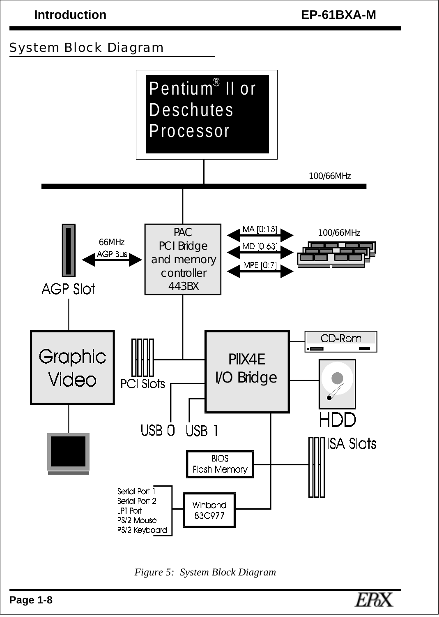## System Block Diagram





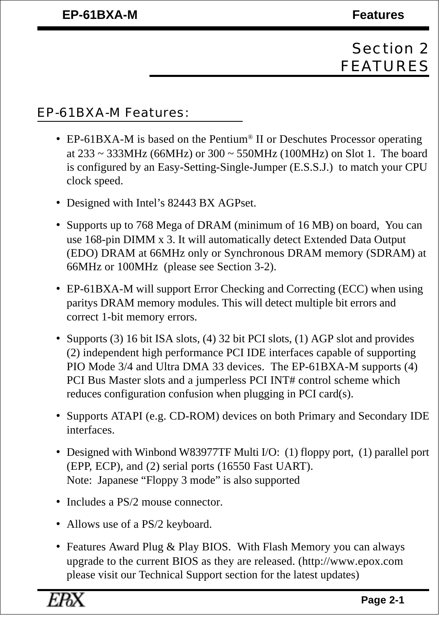## Section 2 FEATURES

#### EP-61BXA-M Features:

- EP-61BXA-M is based on the Pentium<sup>®</sup> II or Deschutes Processor operating at 233 ~ 333MHz (66MHz) or 300 ~ 550MHz (100MHz) on Slot 1. The board is configured by an Easy-Setting-Single-Jumper (E.S.S.J.) to match your CPU clock speed.
- Designed with Intel's 82443 BX AGPset.
- Supports up to 768 Mega of DRAM (minimum of 16 MB) on board, You can use 168-pin DIMM x 3. It will automatically detect Extended Data Output (EDO) DRAM at 66MHz only or Synchronous DRAM memory (SDRAM) at 66MHz or 100MHz (please see Section 3-2).
- EP-61BXA-M will support Error Checking and Correcting (ECC) when using paritys DRAM memory modules. This will detect multiple bit errors and correct 1-bit memory errors.
- Supports (3) 16 bit ISA slots, (4) 32 bit PCI slots, (1) AGP slot and provides (2) independent high performance PCI IDE interfaces capable of supporting PIO Mode 3/4 and Ultra DMA 33 devices. The EP-61BXA-M supports (4) PCI Bus Master slots and a jumperless PCI INT# control scheme which reduces configuration confusion when plugging in PCI card(s).
- Supports ATAPI (e.g. CD-ROM) devices on both Primary and Secondary IDE interfaces.
- Designed with Winbond W83977TF Multi I/O: (1) floppy port, (1) parallel port (EPP, ECP), and (2) serial ports (16550 Fast UART). Note: Japanese "Floppy 3 mode" is also supported
- Includes a PS/2 mouse connector.
- Allows use of a PS/2 keyboard.
- Features Award Plug & Play BIOS. With Flash Memory you can always upgrade to the current BIOS as they are released. (http://www.epox.com please visit our Technical Support section for the latest updates)

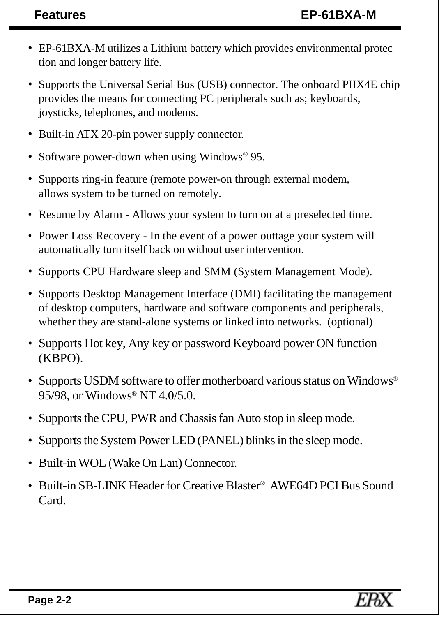- EP-61BXA-M utilizes a Lithium battery which provides environmental protec tion and longer battery life.
- Supports the Universal Serial Bus (USB) connector. The onboard PIIX4E chip provides the means for connecting PC peripherals such as; keyboards, joysticks, telephones, and modems.
- Built-in ATX 20-pin power supply connector.
- Software power-down when using Windows<sup>®</sup> 95.
- Supports ring-in feature (remote power-on through external modem, allows system to be turned on remotely.
- Resume by Alarm Allows your system to turn on at a preselected time.
- Power Loss Recovery In the event of a power outtage your system will automatically turn itself back on without user intervention.
- Supports CPU Hardware sleep and SMM (System Management Mode).
- Supports Desktop Management Interface (DMI) facilitating the management of desktop computers, hardware and software components and peripherals, whether they are stand-alone systems or linked into networks. (optional)
- Supports Hot key, Any key or password Keyboard power ON function (KBPO).
- Supports USDM software to offer motherboard various status on Windows® 95/98, or Windows® NT 4.0/5.0.
- Supports the CPU, PWR and Chassis fan Auto stop in sleep mode.
- Supports the System Power LED (PANEL) blinks in the sleep mode.
- Built-in WOL (Wake On Lan) Connector.
- Built-in SB-LINK Header for Creative Blaster® AWE64D PCI Bus Sound Card.

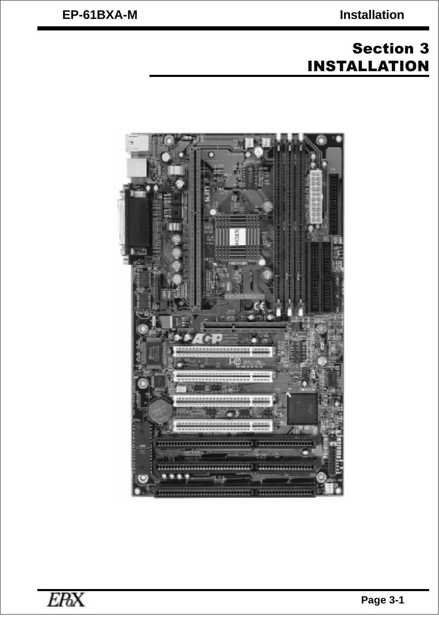## Section 3 INSTALLATION



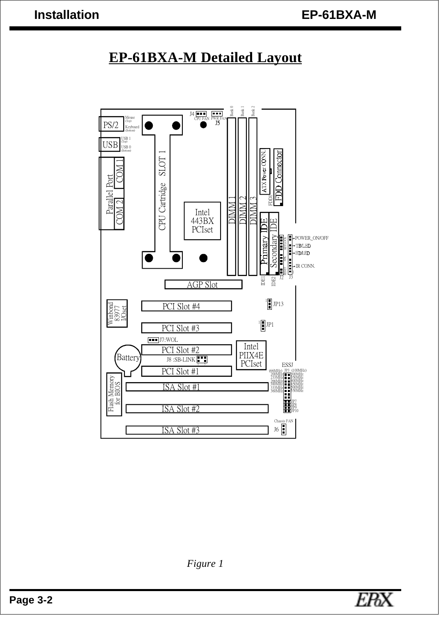## **EP-61BXA-M Detailed Layout**





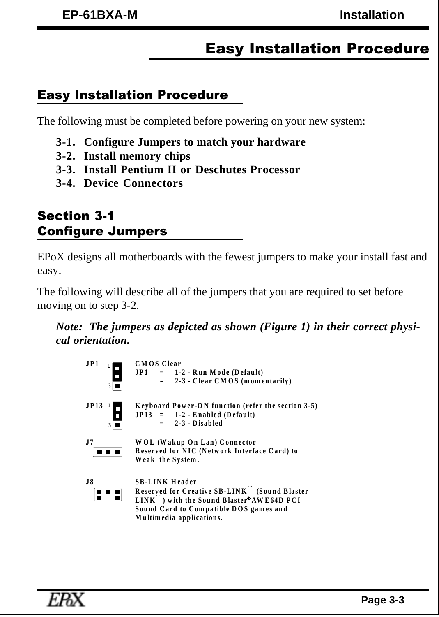## Easy Installation Procedure

#### Easy Installation Procedure

The following must be completed before powering on your new system:

- **3-1. Configure Jumpers to match your hardware**
- **3-2. Install memory chips**
- **3-3. Install Pentium II or Deschutes Processor**
- **3-4. Device Connectors**

#### Section 3-1 Configure Jumpers

EPoX designs all motherboards with the fewest jumpers to make your install fast and easy.

The following will describe all of the jumpers that you are required to set before moving on to step 3-2.

*Note: The jumpers as depicted as shown (Figure 1) in their correct physical orientation.*



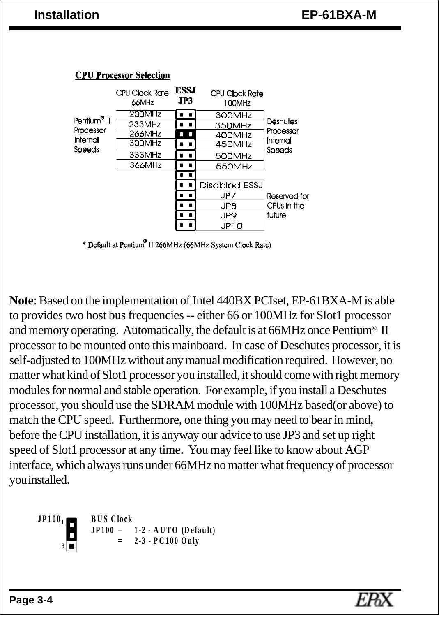

#### **CPU Processor Selection**

\* Default at Pentium<sup>®</sup> II 266MHz (66MHz System Clock Rate)

**Note**: Based on the implementation of Intel 440BX PCIset, EP-61BXA-M is able to provides two host bus frequencies -- either 66 or 100MHz for Slot1 processor and memory operating. Automatically, the default is at 66MHz once Pentium® II processor to be mounted onto this mainboard. In case of Deschutes processor, it is self-adjusted to 100MHz without any manual modification required. However, no matter what kind of Slot1 processor you installed, it should come with right memory modules for normal and stable operation. For example, if you install a Deschutes processor, you should use the SDRAM module with 100MHz based(or above) to match the CPU speed. Furthermore, one thing you may need to bear in mind, before the CPU installation, it is anyway our advice to use JP3 and set up right speed of Slot1 processor at any time. You may feel like to know about AGP interface, which always runs under 66MHz no matter what frequency of processor you installed.



 $JP100 = 1-2 - AUTO$  (Default) **= 2-3 - PC100 Only**

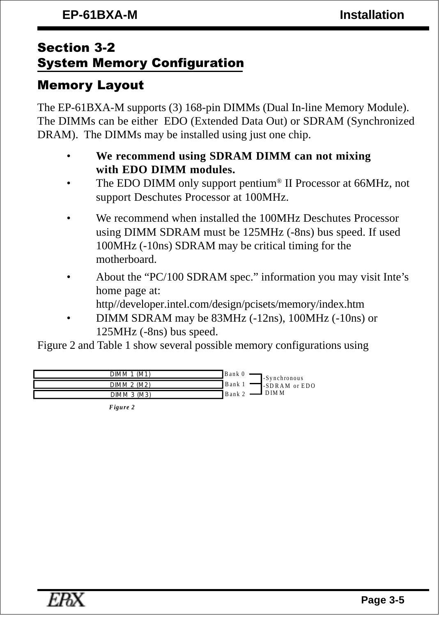## Section 3-2 System Memory Configuration

#### Memory Layout

The EP-61BXA-M supports (3) 168-pin DIMMs (Dual In-line Memory Module). The DIMMs can be either EDO (Extended Data Out) or SDRAM (Synchronized DRAM). The DIMMs may be installed using just one chip.

- **We recommend using SDRAM DIMM can not mixing with EDO DIMM modules.**
- The EDO DIMM only support pentium® II Processor at 66MHz, not support Deschutes Processor at 100MHz.
- We recommend when installed the 100MHz Deschutes Processor using DIMM SDRAM must be 125MHz (-8ns) bus speed. If used 100MHz (-10ns) SDRAM may be critical timing for the motherboard.
- About the "PC/100 SDRAM spec." information you may visit Inte's home page at:

http//developer.intel.com/design/pcisets/memory/index.htm

• DIMM SDRAM may be 83MHz (-12ns), 100MHz (-10ns) or 125MHz (-8ns) bus speed.

Figure 2 and Table 1 show several possible memory configurations using

| (M1)              | Bank 0              |
|-------------------|---------------------|
| <b>DIMM</b>       | -Synchronous        |
| (M2)              | Bank 1              |
| DIMM <sub>2</sub> | SDRAM or EDO        |
| (M3)              | $\blacksquare$ DIMM |
| DIMM              | Bank                |

*Figure 2*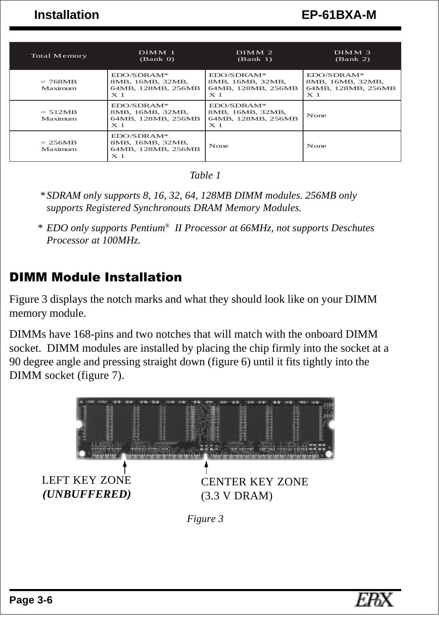| Total Memory         | $DIMM$ 1<br>(Bank 0)                                                     | DIMM <sub>2</sub><br>(Bank 1)                                            | DIMM <sub>3</sub><br>(Bank 2)                                            |
|----------------------|--------------------------------------------------------------------------|--------------------------------------------------------------------------|--------------------------------------------------------------------------|
| $= 768MB$<br>Maximum | $EDO/SDRAM*$<br>8MB, 16MB, 32MB.<br>64MB, 128MB, 256MB<br>$\times 1$     | $EDO/SDRAM*$<br>8MB, 16MB, 32MB,<br>64MB, 128MB, 256MB<br>$\times 1$     | $EDO/SDRAM*$<br>8MB, 16MB, 32MB.<br>64MB, 128MB, 256MB<br>X <sub>1</sub> |
| $= 512MB$<br>Maximum | $EDO/SDRAM*$<br>8MB, 16MB, 32MB.<br>64MB, 128MB, 256MB<br>X <sub>1</sub> | $EDO/SDRAM*$<br>8MB, 16MB, 32MB.<br>64MB, 128MB, 256MB<br>X <sub>1</sub> | <b>None</b>                                                              |
| $= 256MB$<br>Maximum | $EDO/SDRAM*$<br>8MB, 16MB, 32MB.<br>64MB, 128MB, 256MB<br>$\times 1$     | None                                                                     | <b>None</b>                                                              |

*Table 1*

 *\* SDRAM only supports 8, 16, 32, 64, 128MB DIMM modules. 256MB only supports Registered Synchronouts DRAM Memory Modules.*

#### DIMM Module Installation

Figure 3 displays the notch marks and what they should look like on your DIMM memory module.

DIMMs have 168-pins and two notches that will match with the onboard DIMM socket. DIMM modules are installed by placing the chip firmly into the socket at a 90 degree angle and pressing straight down (figure 6) until it fits tightly into the DIMM socket (figure 7).





*<sup>\*</sup> EDO only supports Pentium® II Processor at 66MHz, not supports Deschutes Processor at 100MHz.*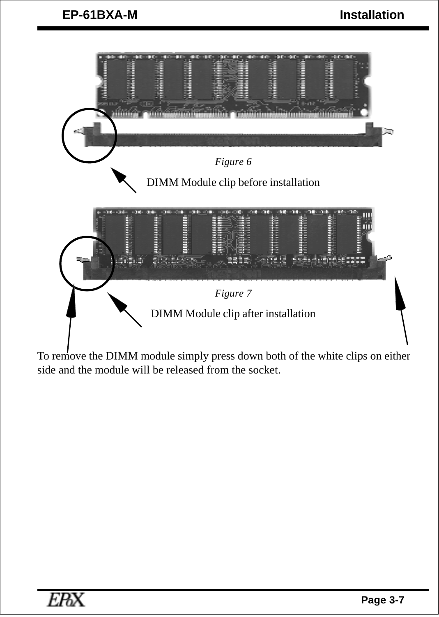

To remove the DIMM module simply press down both of the white clips on either side and the module will be released from the socket.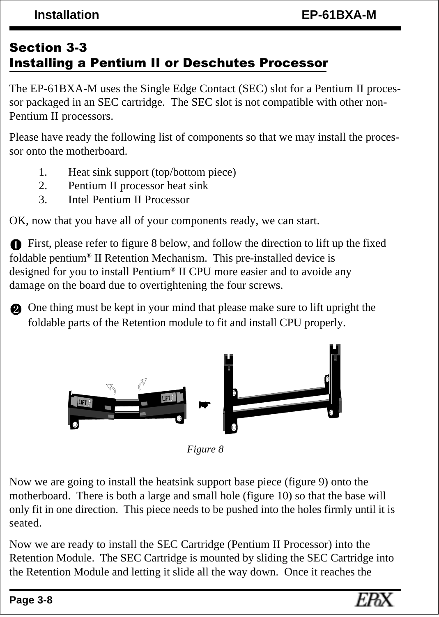## Section 3-3 Installing a Pentium II or Deschutes Processor

The EP-61BXA-M uses the Single Edge Contact (SEC) slot for a Pentium II processor packaged in an SEC cartridge. The SEC slot is not compatible with other non-Pentium II processors.

Please have ready the following list of components so that we may install the processor onto the motherboard.

- 1. Heat sink support (top/bottom piece)
- 2. Pentium II processor heat sink
- 3. Intel Pentium II Processor

OK, now that you have all of your components ready, we can start.

First, please refer to figure 8 below, and follow the direction to lift up the fixed foldable pentium® II Retention Mechanism. This pre-installed device is designed for you to install Pentium® II CPU more easier and to avoide any damage on the board due to overtightening the four screws.

One thing must be kept in your mind that please make sure to lift upright the foldable parts of the Retention module to fit and install CPU properly.



*Figure 8*

Now we are going to install the heatsink support base piece (figure 9) onto the motherboard. There is both a large and small hole (figure 10) so that the base will only fit in one direction. This piece needs to be pushed into the holes firmly until it is seated.

Now we are ready to install the SEC Cartridge (Pentium II Processor) into the Retention Module. The SEC Cartridge is mounted by sliding the SEC Cartridge into the Retention Module and letting it slide all the way down. Once it reaches the

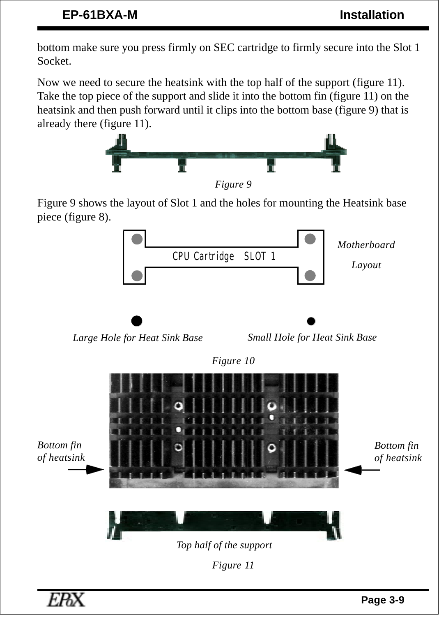bottom make sure you press firmly on SEC cartridge to firmly secure into the Slot 1 Socket.

Now we need to secure the heatsink with the top half of the support (figure 11). Take the top piece of the support and slide it into the bottom fin (figure 11) on the heatsink and then push forward until it clips into the bottom base (figure 9) that is already there (figure 11).



*Figure 9*

Figure 9 shows the layout of Slot 1 and the holes for mounting the Heatsink base piece (figure 8).

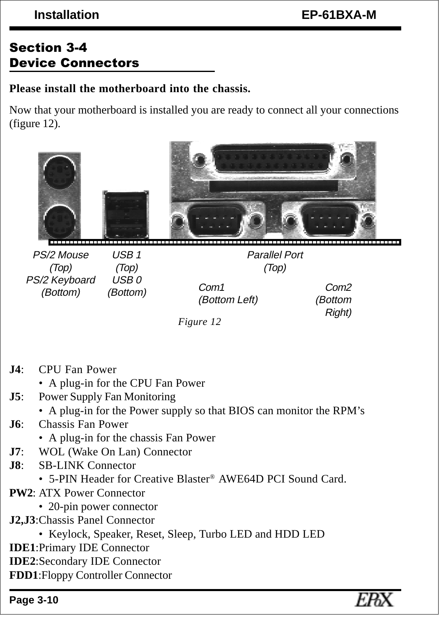#### Section 3-4 Device Connectors

#### **Please install the motherboard into the chassis.**

Now that your motherboard is installed you are ready to connect all your connections (figure 12).



| PS/2 Mouse    | USB 1    |
|---------------|----------|
| (Top)         | (Top)    |
| PS/2 Keyboard | USB 0    |
| (Bottom)      | (Bottom) |

Com1 Com2 (Bottom Left) (Bottom

(Top)

Right)

*Figure 12*

- **J4**: CPU Fan Power
	- A plug-in for the CPU Fan Power
- **J5**: Power Supply Fan Monitoring
	- A plug-in for the Power supply so that BIOS can monitor the RPM's
- **J6**: Chassis Fan Power
	- A plug-in for the chassis Fan Power
- **J7**: WOL (Wake On Lan) Connector
- **J8**: SB-LINK Connector
	- 5-PIN Header for Creative Blaster<sup>®</sup> AWE64D PCI Sound Card.
- **PW2**: ATX Power Connector
	- 20-pin power connector
- **J2,J3**:Chassis Panel Connector
	- Keylock, Speaker, Reset, Sleep, Turbo LED and HDD LED
- **IDE1**:Primary IDE Connector
- **IDE2**:Secondary IDE Connector
- **FDD1**:Floppy Controller Connector

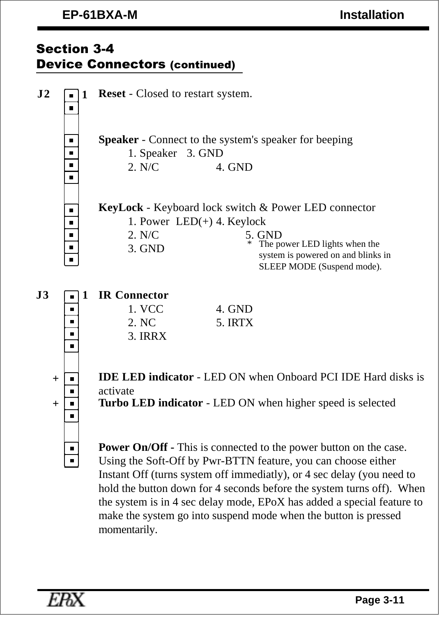## Section 3-4 Device Connectors (continued)

- **J2 1 Reset** - Closed to restart system.  $\blacksquare$  $\blacksquare$ Ξ **Speaker** - Connect to the system's speaker for beeping ī 1. Speaker 3. GND  $\overline{\phantom{a}}$  $2$  N/C 4. GND  $\blacksquare$ **KeyLock** - Keyboard lock switch & Power LED connector  $\blacksquare$ 1. Power LED(+) 4. Keylock  $\overline{\phantom{0}}$ 2. N/C 5. GND  $\blacksquare$ The power LED lights when the  $\blacksquare$ 3. GND system is powered on and blinks in SLEEP MODE (Suspend mode).  $J3 \Box 1$ **IR Connector**  $\blacksquare$ 
	- 1. VCC 4. GND 2. NC 5. IRTX 3. IRRX



 $\blacksquare$  $\blacksquare$  $\blacksquare$ 

> **IDE LED indicator** - LED ON when Onboard PCI IDE Hard disks is activate

**Turbo LED indicator** - LED ON when higher speed is selected

**Power On/Off - This is connected to the power button on the case.** Using the Soft-Off by Pwr-BTTN feature, you can choose either Instant Off (turns system off immediatly), or 4 sec delay (you need to hold the button down for 4 seconds before the system turns off). When the system is in 4 sec delay mode, EPoX has added a special feature to make the system go into suspend mode when the button is pressed momentarily.

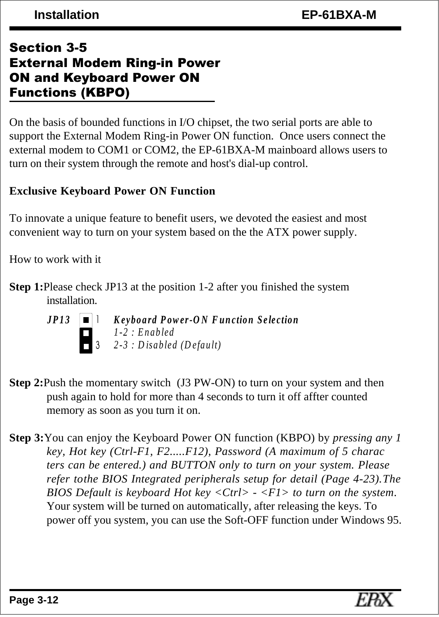#### Section 3-5 External Modem Ring-in Power ON and Keyboard Power ON Functions (KBPO)

On the basis of bounded functions in I/O chipset, the two serial ports are able to support the External Modem Ring-in Power ON function. Once users connect the external modem to COM1 or COM2, the EP-61BXA-M mainboard allows users to turn on their system through the remote and host's dial-up control.

#### **Exclusive Keyboard Power ON Function**

To innovate a unique feature to benefit users, we devoted the easiest and most convenient way to turn on your system based on the the ATX power supply.

How to work with it

**Step 1:**Please check JP13 at the position 1-2 after you finished the system installation.



*JP13 K eyboard P ower-O N F unction Selection 1-2 : Enabled 2-3 : D isabled (D efault)*

- **Step 2:**Push the momentary switch (J3 PW-ON) to turn on your system and then push again to hold for more than 4 seconds to turn it off affter counted memory as soon as you turn it on.
- **Step 3:**You can enjoy the Keyboard Power ON function (KBPO) by *pressing any 1 key, Hot key (Ctrl-F1, F2.....F12), Password (A maximum of 5 charac ters can be entered.) and BUTTON only to turn on your system. Please refer tothe BIOS Integrated peripherals setup for detail (Page 4-23).The BIOS Default is keyboard Hot key <Ctrl> - <F1> to turn on the system*. Your system will be turned on automatically, after releasing the keys. To power off you system, you can use the Soft-OFF function under Windows 95.

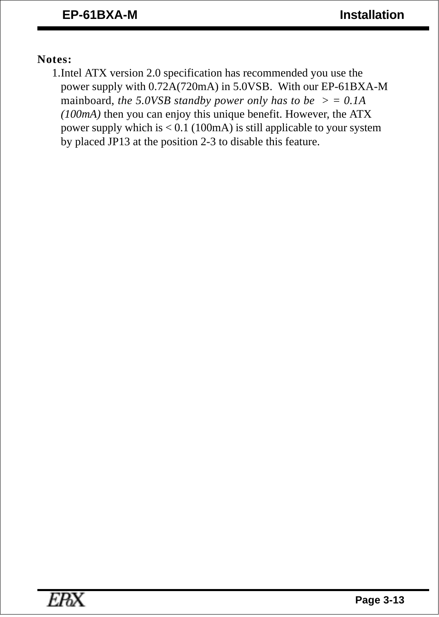#### **Notes:**

1.Intel ATX version 2.0 specification has recommended you use the power supply with 0.72A(720mA) in 5.0VSB. With our EP-61BXA-M mainboard, the 5.0VSB standby power only has to be  $> = 0.1A$ *(100mA)* then you can enjoy this unique benefit. However, the ATX power supply which is < 0.1 (100mA) is still applicable to your system by placed JP13 at the position 2-3 to disable this feature.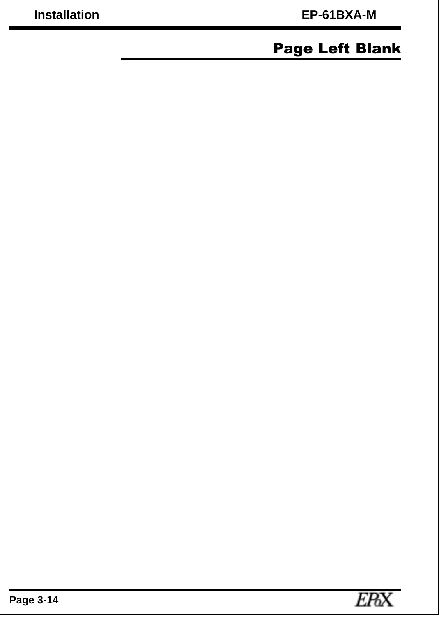# Page Left Blank

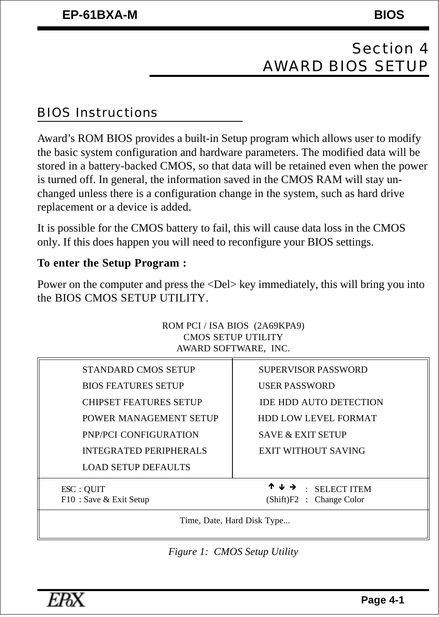## Section 4 AWARD BIOS SETUP

## BIOS Instructions

Award's ROM BIOS provides a built-in Setup program which allows user to modify the basic system configuration and hardware parameters. The modified data will be stored in a battery-backed CMOS, so that data will be retained even when the power is turned off. In general, the information saved in the CMOS RAM will stay unchanged unless there is a configuration change in the system, such as hard drive replacement or a device is added.

It is possible for the CMOS battery to fail, this will cause data loss in the CMOS only. If this does happen you will need to reconfigure your BIOS settings.

#### **To enter the Setup Program :**

Power on the computer and press the <Del> key immediately, this will bring you into the BIOS CMOS SETUP UTILITY.

 $POM PCI / IR A PIOS / 2AGQVDA9$ 

|                                                                                                                                                                                               | $N$ UNI LUI DIO LAUTRIATI<br><b>CMOS SETUP UTILITY</b><br>AWARD SOFTWARE, INC.                                                                                            |
|-----------------------------------------------------------------------------------------------------------------------------------------------------------------------------------------------|---------------------------------------------------------------------------------------------------------------------------------------------------------------------------|
| STANDARD CMOS SETUP<br><b>BIOS FEATURES SETUP</b><br><b>CHIPSET FEATURES SETUP</b><br>POWER MANAGEMENT SETUP<br>PNP/PCI CONFIGURATION<br>INTEGRATED PERIPHERALS<br><b>LOAD SETUP DEFAULTS</b> | <b>SUPERVISOR PASSWORD</b><br><b>USER PASSWORD</b><br><b>IDE HDD AUTO DETECTION</b><br><b>HDD LOW LEVEL FORMAT</b><br><b>SAVE &amp; EXIT SETUP</b><br>EXIT WITHOUT SAVING |
| ESC : QUIT<br>F10 : Save & Exit Setup                                                                                                                                                         | $\uparrow \downarrow \rightarrow$ : SELECT ITEM<br>$(Shift)F2$ : Change Color<br>Time, Date, Hard Disk Type                                                               |

*Figure 1: CMOS Setup Utility*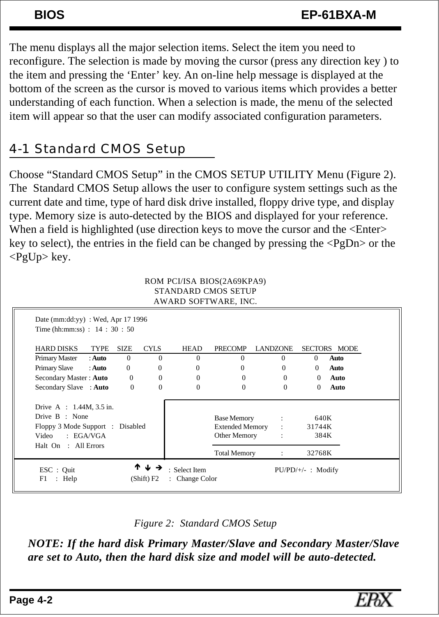The menu displays all the major selection items. Select the item you need to reconfigure. The selection is made by moving the cursor (press any direction key ) to the item and pressing the 'Enter' key. An on-line help message is displayed at the bottom of the screen as the cursor is moved to various items which provides a better understanding of each function. When a selection is made, the menu of the selected item will appear so that the user can modify associated configuration parameters.

## 4-1 Standard CMOS Setup

Choose "Standard CMOS Setup" in the CMOS SETUP UTILITY Menu (Figure 2). The Standard CMOS Setup allows the user to configure system settings such as the current date and time, type of hard disk drive installed, floppy drive type, and display type. Memory size is auto-detected by the BIOS and displayed for your reference. When a field is highlighted (use direction keys to move the cursor and the  $\leq$ Enter $>$ key to select), the entries in the field can be changed by pressing the <PgDn> or the  $<$ PgUp $>$  key.

| ROM PCI/ISA BIOS(2A69KPA9) |
|----------------------------|
| STANDARD CMOS SETUP        |
| AWARD SOFTWARE, INC.       |

|                                                                                                                          | <b>TYPE</b> | <b>SIZE</b>  | <b>CYLS</b> | <b>HEAD</b> | <b>PRECOMP</b>                                                                      | <b>LANDZONE</b> |                                  | SECTORS MODE |
|--------------------------------------------------------------------------------------------------------------------------|-------------|--------------|-------------|-------------|-------------------------------------------------------------------------------------|-----------------|----------------------------------|--------------|
| Primary Master                                                                                                           | : Auto      | $\Omega$     | $\Omega$    | $\Omega$    | 0                                                                                   | $\Omega$        | $\Omega$                         | Auto         |
| Primary Slave                                                                                                            | : Auto      | $\Omega$     | $\Omega$    | $\Omega$    | $\Omega$                                                                            | $\Omega$        | $\Omega$                         | Auto         |
| Secondary Master: Auto                                                                                                   |             | $\mathbf{0}$ | $\Omega$    | $\Omega$    | $\Omega$                                                                            | $\Omega$        | $\Omega$                         | Auto         |
| Secondary Slave : Auto                                                                                                   |             | $\Omega$     | $\Omega$    | $\Omega$    | $\Omega$                                                                            | $\Omega$        | $\Omega$                         | Auto         |
| Drive $A : 1.44M, 3.5$ in.<br>Drive B: None<br>Floppy 3 Mode Support :<br>Video<br>$\pm$ EGA/VGA<br>Halt On : All Errors |             | Disabled     |             |             | <b>Base Memory</b><br><b>Extended Memory</b><br>Other Memory<br><b>Total Memory</b> |                 | 640K<br>31744K<br>384K<br>32768K |              |

*Figure 2: Standard CMOS Setup*

*NOTE: If the hard disk Primary Master/Slave and Secondary Master/Slave are set to Auto, then the hard disk size and model will be auto-detected.*

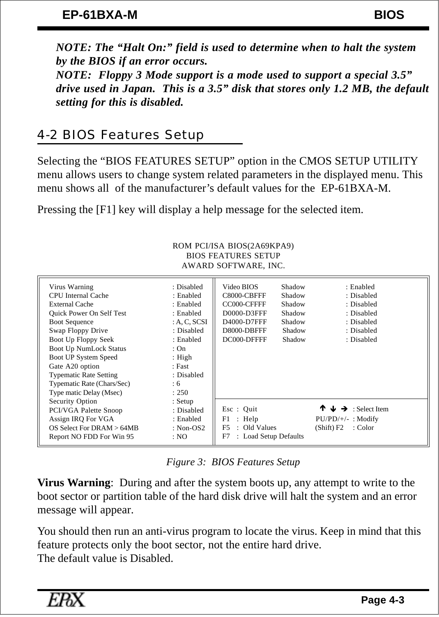*NOTE: The "Halt On:" field is used to determine when to halt the system by the BIOS if an error occurs.*

*NOTE: Floppy 3 Mode support is a mode used to support a special 3.5" drive used in Japan. This is a 3.5" disk that stores only 1.2 MB, the default setting for this is disabled.*

## 4-2 BIOS Features Setup

Selecting the "BIOS FEATURES SETUP" option in the CMOS SETUP UTILITY menu allows users to change system related parameters in the displayed menu. This menu shows all of the manufacturer's default values for the EP-61BXA-M.

Pressing the [F1] key will display a help message for the selected item.

| Virus Warning<br><b>CPU</b> Internal Cache<br>External Cache<br><b>Ouick Power On Self Test</b><br><b>Boot Sequence</b><br>Swap Floppy Drive<br>Boot Up Floppy Seek<br><b>Boot Up NumLock Status</b><br>Boot UP System Speed<br>Gate A20 option<br><b>Typematic Rate Setting</b><br>Typematic Rate (Chars/Sec)<br>Type matic Delay (Msec) | : Disabled<br>: Enabled<br>: Enabled<br>: Enabled<br>: A. C. SCSI<br>: Disabled<br>: Enabled<br>: $On$<br>: High<br>: Fast<br>: Disabled<br>:6<br>: 250 | Video BIOS<br>C8000-CBFFF<br>CC000-CFFFF<br>D0000-D3FFF<br>D4000-D7FFF<br>D8000-DBFFF<br>DC000-DFFFF | Shadow<br>Shadow<br>Shadow<br>Shadow<br>Shadow<br>Shadow<br>Shadow | : Enabled<br>: Disabled<br>: Disabled<br>: Disabled<br>: Disabled<br>: Disabled<br>: Disabled |  |  |
|-------------------------------------------------------------------------------------------------------------------------------------------------------------------------------------------------------------------------------------------------------------------------------------------------------------------------------------------|---------------------------------------------------------------------------------------------------------------------------------------------------------|------------------------------------------------------------------------------------------------------|--------------------------------------------------------------------|-----------------------------------------------------------------------------------------------|--|--|
| Security Option<br>PCI/VGA Palette Snoop<br>Assign IRO For VGA<br>$OS$ Select For DRAM $>64MB$<br>Report NO FDD For Win 95                                                                                                                                                                                                                | $:$ Setup<br>: Disabled<br>: Enabled<br>: Non-OS2<br>: NO                                                                                               | Esc: Quit<br>$\therefore$ Help<br>F1.<br>: Old Values<br>F5<br>: Load Setup Defaults<br>F7           |                                                                    | T.<br>$\rightarrow$ : Select Item<br>w<br>$PU/PD/+/-$ : Modify<br>(Shift) F2<br>: Color       |  |  |

ROM PCI/ISA BIOS(2A69KPA9) BIOS FEATURES SETUP AWARD SOFTWARE, INC.

*Figure 3: BIOS Features Setup*

**Virus Warning**:During and after the system boots up, any attempt to write to the boot sector or partition table of the hard disk drive will halt the system and an error message will appear.

You should then run an anti-virus program to locate the virus. Keep in mind that this feature protects only the boot sector, not the entire hard drive. The default value is Disabled.

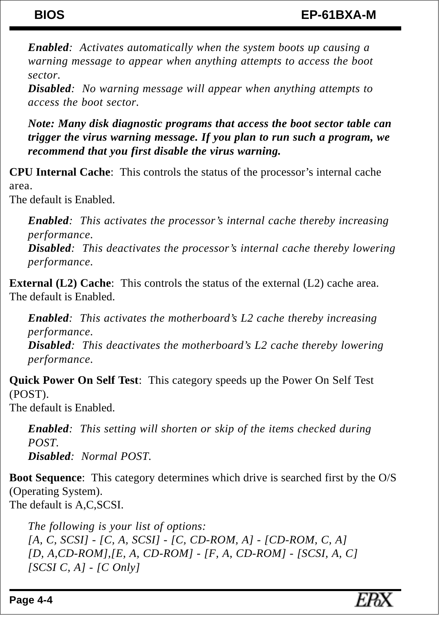*Enabled: Activates automatically when the system boots up causing a warning message to appear when anything attempts to access the boot sector.*

*Disabled: No warning message will appear when anything attempts to access the boot sector.*

*Note: Many disk diagnostic programs that access the boot sector table can trigger the virus warning message. If you plan to run such a program, we recommend that you first disable the virus warning.*

**CPU Internal Cache**: This controls the status of the processor's internal cache area.

The default is Enabled.

*Enabled: This activates the processor's internal cache thereby increasing performance. Disabled: This deactivates the processor's internal cache thereby lowering performance.*

**External (L2) Cache:** This controls the status of the external (L2) cache area. The default is Enabled.

*Enabled: This activates the motherboard's L2 cache thereby increasing performance. Disabled: This deactivates the motherboard's L2 cache thereby lowering performance.*

**Quick Power On Self Test**: This category speeds up the Power On Self Test (POST).

The default is Enabled.

*Enabled: This setting will shorten or skip of the items checked during POST. Disabled: Normal POST.*

**Boot Sequence**: This category determines which drive is searched first by the O/S (Operating System). The default is A,C,SCSI.

*The following is your list of options: [A, C, SCSI] - [C, A, SCSI] - [C, CD-ROM, A] - [CD-ROM, C, A] [D, A,CD-ROM],[E, A, CD-ROM] - [F, A, CD-ROM] - [SCSI, A, C] [SCSI C, A] - [C Only]*

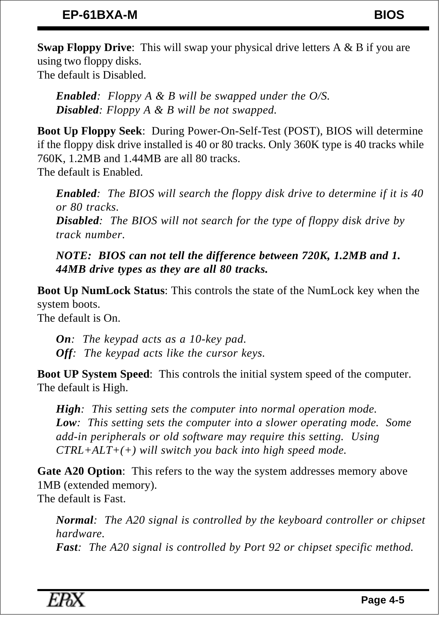**Swap Floppy Drive**: This will swap your physical drive letters A & B if you are using two floppy disks. The default is Disabled.

*Enabled: Floppy A & B will be swapped under the O/S. Disabled: Floppy A & B will be not swapped.*

**Boot Up Floppy Seek**: During Power-On-Self-Test (POST), BIOS will determine if the floppy disk drive installed is 40 or 80 tracks. Only 360K type is 40 tracks while 760K, 1.2MB and 1.44MB are all 80 tracks.

The default is Enabled.

*Enabled: The BIOS will search the floppy disk drive to determine if it is 40 or 80 tracks. Disabled: The BIOS will not search for the type of floppy disk drive by track number.*

*NOTE: BIOS can not tell the difference between 720K, 1.2MB and 1. 44MB drive types as they are all 80 tracks.*

**Boot Up NumLock Status**: This controls the state of the NumLock key when the system boots.

The default is On.

*On: The keypad acts as a 10-key pad. Off: The keypad acts like the cursor keys.*

**Boot UP System Speed**: This controls the initial system speed of the computer. The default is High.

*High: This setting sets the computer into normal operation mode. Low: This setting sets the computer into a slower operating mode. Some add-in peripherals or old software may require this setting. Using CTRL+ALT+(+) will switch you back into high speed mode.*

**Gate A20 Option**: This refers to the way the system addresses memory above 1MB (extended memory). The default is Fast.

*Normal: The A20 signal is controlled by the keyboard controller or chipset hardware. Fast: The A20 signal is controlled by Port 92 or chipset specific method.*

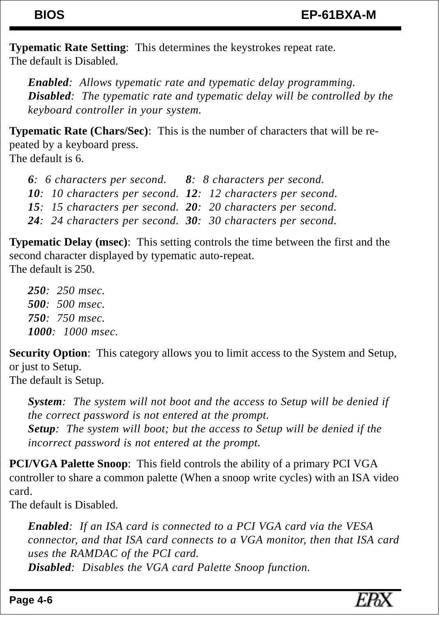**Typematic Rate Setting**: This determines the keystrokes repeat rate. The default is Disabled.

*Enabled: Allows typematic rate and typematic delay programming. Disabled: The typematic rate and typematic delay will be controlled by the keyboard controller in your system.*

**Typematic Rate (Chars/Sec)**: This is the number of characters that will be repeated by a keyboard press. The default is 6.

*: 6 characters per second. 8: 8 characters per second. : 10 characters per second. 12: 12 characters per second. : 15 characters per second. 20: 20 characters per second. : 24 characters per second. 30: 30 characters per second.*

**Typematic Delay (msec)**: This setting controls the time between the first and the second character displayed by typematic auto-repeat. The default is 250.

*: 250 msec. : 500 msec. : 750 msec. : 1000 msec.*

**Security Option**: This category allows you to limit access to the System and Setup, or just to Setup.

The default is Setup.

*System: The system will not boot and the access to Setup will be denied if the correct password is not entered at the prompt. Setup: The system will boot; but the access to Setup will be denied if the incorrect password is not entered at the prompt.*

**PCI/VGA Palette Snoop**: This field controls the ability of a primary PCI VGA controller to share a common palette (When a snoop write cycles) with an ISA video card.

The default is Disabled.

*Enabled: If an ISA card is connected to a PCI VGA card via the VESA connector, and that ISA card connects to a VGA monitor, then that ISA card uses the RAMDAC of the PCI card.*

*Disabled: Disables the VGA card Palette Snoop function.*

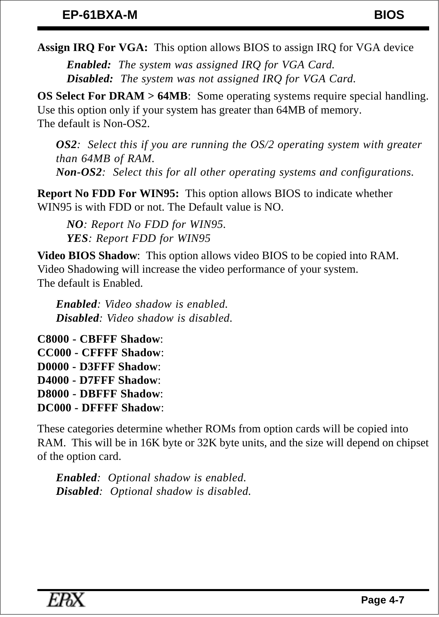**Assign IRQ For VGA:** This option allows BIOS to assign IRQ for VGA device

*Enabled: The system was assigned IRQ for VGA Card. Disabled: The system was not assigned IRQ for VGA Card.*

**OS Select For DRAM > 64MB**: Some operating systems require special handling. Use this option only if your system has greater than 64MB of memory. The default is Non-OS2.

*OS2: Select this if you are running the OS/2 operating system with greater than 64MB of RAM. Non-OS2: Select this for all other operating systems and configurations.*

**Report No FDD For WIN95:** This option allows BIOS to indicate whether WIN95 is with FDD or not. The Default value is NO.

*NO: Report No FDD for WIN95. YES: Report FDD for WIN95*

**Video BIOS Shadow**: This option allows video BIOS to be copied into RAM. Video Shadowing will increase the video performance of your system. The default is Enabled.

*Enabled: Video shadow is enabled. Disabled: Video shadow is disabled.*

**C8000 - CBFFF Shadow**: **CC000 - CFFFF Shadow**: **D0000 - D3FFF Shadow**: **D4000 - D7FFF Shadow**: **D8000 - DBFFF Shadow**: **DC000 - DFFFF Shadow**:

These categories determine whether ROMs from option cards will be copied into RAM. This will be in 16K byte or 32K byte units, and the size will depend on chipset of the option card.

*Enabled: Optional shadow is enabled. Disabled: Optional shadow is disabled.*

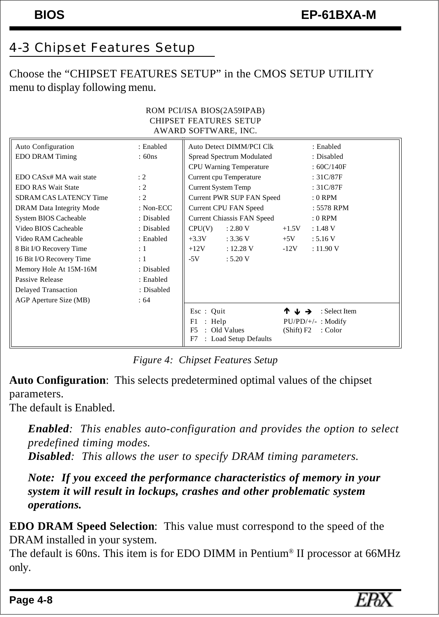## 4-3 Chipset Features Setup

Choose the "CHIPSET FEATURES SETUP" in the CMOS SETUP UTILITY menu to display following menu.

#### ROM PCI/ISA BIOS(2A59IPAB) CHIPSET FEATURES SETUP AWARD SOFTWARE, INC.

| Auto Configuration            | : Enabled          |                                                | Auto Detect DIMM/PCI Clk       |             | : Enabled             |  |
|-------------------------------|--------------------|------------------------------------------------|--------------------------------|-------------|-----------------------|--|
| <b>EDO DRAM Timing</b>        | : 60 <sub>ns</sub> | Spread Spectrum Modulated                      | : Disabled                     |             |                       |  |
|                               |                    |                                                | <b>CPU Warning Temperature</b> | :60C/140F   |                       |  |
| EDO CASx# MA wait state       | $\therefore$ 2     |                                                | Current cpu Temperature        | : $31C/87F$ |                       |  |
| <b>EDO RAS Wait State</b>     | : 2                | Current System Temp                            |                                | : $31C/87F$ |                       |  |
| <b>SDRAM CAS LATENCY Time</b> | $\cdot$ 2          | Current PWR SUP FAN Speed<br>$: 0$ RPM         |                                |             |                       |  |
| DRAM Data Integrity Mode      | : $Non-ECC$        | <b>Current CPU FAN Speed</b><br>: 5578 RPM     |                                |             |                       |  |
| System BIOS Cacheable         | : Disabled         | <b>Current Chiassis FAN Speed</b><br>$: 0$ RPM |                                |             |                       |  |
| Video BIOS Cacheable          | : Disabled         | CPU(V)                                         | : 2.80 V                       | $+1.5V$     | : 1.48 V              |  |
| Video RAM Cacheable           | : Enabled          | $+3.3V$                                        | : 3.36 V                       | $+5V$       | : 5.16 V              |  |
| 8 Bit I/O Recovery Time       | $\pm$ 1            | $+12V$                                         | : 12.28 V                      | $-12V$      | : 11.90 V             |  |
| 16 Bit I/O Recovery Time      | :1                 | $-5V$                                          | : 5.20 V                       |             |                       |  |
| Memory Hole At 15M-16M        | : Disabled         |                                                |                                |             |                       |  |
| Passive Release               | : Enabled          |                                                |                                |             |                       |  |
| Delayed Transaction           | : Disabled         |                                                |                                |             |                       |  |
| AGP Aperture Size (MB)        | :64                |                                                |                                |             |                       |  |
|                               |                    | Esc: Ouit                                      |                                | T.<br>ﯩﻠ    | : Select Item<br>→    |  |
|                               |                    | : Help<br>F1                                   |                                |             | $PU/PD/+/ -$ : Modify |  |
|                               |                    | : Old Values<br>F5                             |                                | (Shift) F2  | : Color               |  |
|                               |                    | F7                                             | : Load Setup Defaults          |             |                       |  |

*Figure 4: Chipset Features Setup*

**Auto Configuration**: This selects predetermined optimal values of the chipset parameters.

The default is Enabled.

*Enabled: This enables auto-configuration and provides the option to select predefined timing modes.*

*Disabled: This allows the user to specify DRAM timing parameters.*

*Note: If you exceed the performance characteristics of memory in your system it will result in lockups, crashes and other problematic system operations.*

**EDO DRAM Speed Selection**: This value must correspond to the speed of the DRAM installed in your system.

The default is 60ns. This item is for EDO DIMM in Pentium® II processor at 66MHz only.

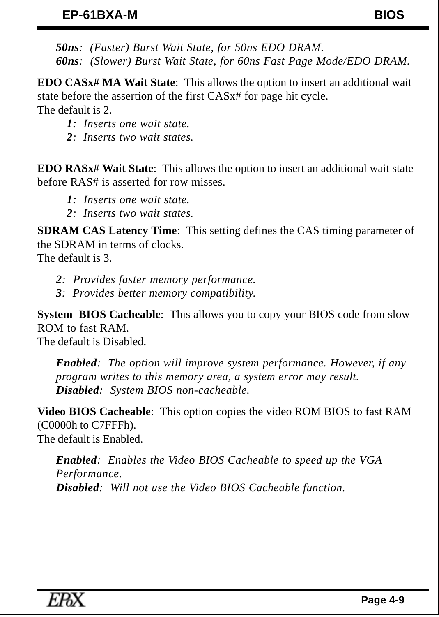**EDO CASx# MA Wait State**: This allows the option to insert an additional wait state before the assertion of the first CASx# for page hit cycle. The default is 2.

*1: Inserts one wait state.*

*2: Inserts two wait states.*

**EDO RASx# Wait State**: This allows the option to insert an additional wait state before RAS# is asserted for row misses.

- *1: Inserts one wait state.*
- *2: Inserts two wait states.*

**SDRAM CAS Latency Time**: This setting defines the CAS timing parameter of the SDRAM in terms of clocks.

The default is 3.

- *2: Provides faster memory performance.*
- *3: Provides better memory compatibility.*

**System BIOS Cacheable**: This allows you to copy your BIOS code from slow ROM to fast RAM.

The default is Disabled.

*Enabled: The option will improve system performance. However, if any program writes to this memory area, a system error may result. Disabled: System BIOS non-cacheable.*

**Video BIOS Cacheable**: This option copies the video ROM BIOS to fast RAM (C0000h to C7FFFh). The default is Enabled.

*Enabled: Enables the Video BIOS Cacheable to speed up the VGA Performance. Disabled: Will not use the Video BIOS Cacheable function.*

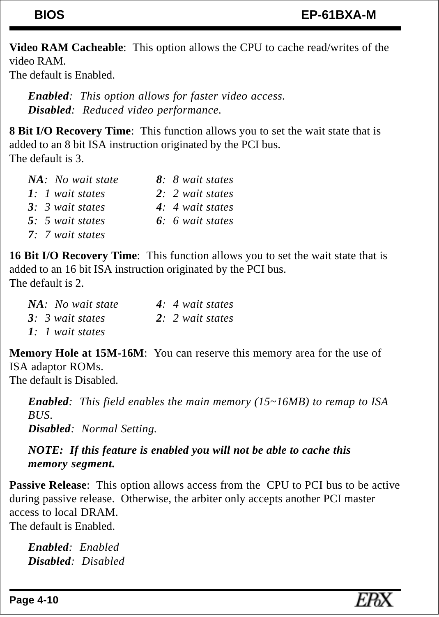**Video RAM Cacheable**: This option allows the CPU to cache read/writes of the video RAM.

The default is Enabled.

*Enabled: This option allows for faster video access. Disabled: Reduced video performance.*

**8 Bit I/O Recovery Time**: This function allows you to set the wait state that is added to an 8 bit ISA instruction originated by the PCI bus. The default is 3.

| NA: No wait state | 8: 8 wait states   |
|-------------------|--------------------|
| 1: I wait states  | $2: 2$ wait states |
| 3: 3 wait states  | 4: 4 wait states   |
| 5: 5 wait states  | 6: 6 wait states   |
| 7: 7 wait states  |                    |

**16 Bit I/O Recovery Time**: This function allows you to set the wait state that is added to an 16 bit ISA instruction originated by the PCI bus. The default is 2.

| NA: No wait state |  | 4: 4 wait states |  |
|-------------------|--|------------------|--|
| 3: 3 wait states  |  | 2: 2 wait states |  |
| 1: I wait states  |  |                  |  |

**Memory Hole at 15M-16M**: You can reserve this memory area for the use of ISA adaptor ROMs.

The default is Disabled.

*Enabled: This field enables the main memory (15~16MB) to remap to ISA BUS. Disabled: Normal Setting.*

*NOTE: If this feature is enabled you will not be able to cache this memory segment.*

**Passive Release**: This option allows access from the CPU to PCI bus to be active during passive release. Otherwise, the arbiter only accepts another PCI master access to local DRAM. The default is Enabled.

*Enabled: Enabled Disabled: Disabled*

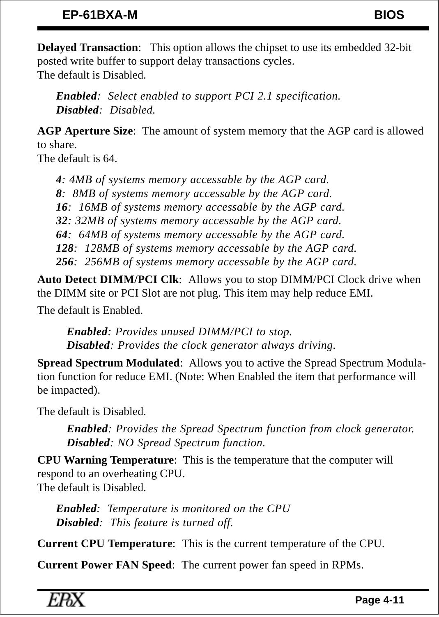**Delayed Transaction:** This option allows the chipset to use its embedded 32-bit posted write buffer to support delay transactions cycles. The default is Disabled.

*Enabled: Select enabled to support PCI 2.1 specification. Disabled: Disabled.*

**AGP Aperture Size**: The amount of system memory that the AGP card is allowed to share.

The default is 64.

*: 4MB of systems memory accessable by the AGP card. : 8MB of systems memory accessable by the AGP card. : 16MB of systems memory accessable by the AGP card. : 32MB of systems memory accessable by the AGP card. : 64MB of systems memory accessable by the AGP card. : 128MB of systems memory accessable by the AGP card. : 256MB of systems memory accessable by the AGP card.*

**Auto Detect DIMM/PCI Clk**: Allows you to stop DIMM/PCI Clock drive when the DIMM site or PCI Slot are not plug. This item may help reduce EMI. The default is Enabled.

*Enabled: Provides unused DIMM/PCI to stop. Disabled: Provides the clock generator always driving.*

**Spread Spectrum Modulated**: Allows you to active the Spread Spectrum Modulation function for reduce EMI. (Note: When Enabled the item that performance will be impacted).

The default is Disabled.

*Enabled: Provides the Spread Spectrum function from clock generator. Disabled: NO Spread Spectrum function.*

**CPU Warning Temperature**: This is the temperature that the computer will respond to an overheating CPU. The default is Disabled.

*Enabled: Temperature is monitored on the CPU Disabled: This feature is turned off.*

**Current CPU Temperature**: This is the current temperature of the CPU.

**Current Power FAN Speed**: The current power fan speed in RPMs.

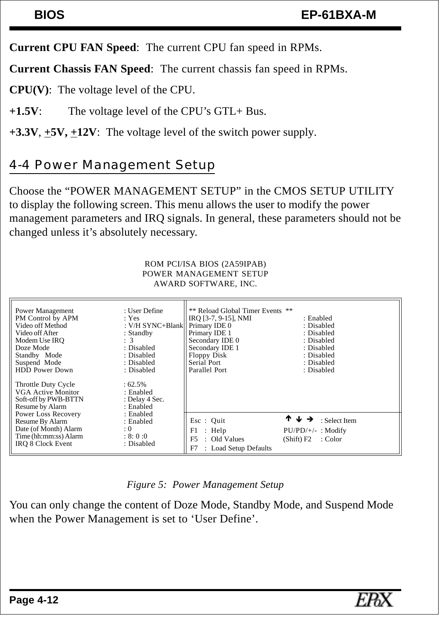**Current CPU FAN Speed**: The current CPU fan speed in RPMs.

**Current Chassis FAN Speed**: The current chassis fan speed in RPMs.

**CPU(V)**: The voltage level of the CPU.

**+1.5V**: The voltage level of the CPU's GTL+ Bus.

**+3.3V**, **+5V, +12V**: The voltage level of the switch power supply.

## 4-4 Power Management Setup

Choose the "POWER MANAGEMENT SETUP" in the CMOS SETUP UTILITY to display the following screen. This menu allows the user to modify the power management parameters and IRQ signals. In general, these parameters should not be changed unless it's absolutely necessary.

#### ROM PCI/ISA BIOS (2A59IPAB) POWER MANAGEMENT SETUP AWARD SOFTWARE, INC.

| Power Management<br>PM Control by APM<br>Video off Method<br>Video off After<br>Modem Use IRO<br>Doze Mode<br>Standby Mode<br>Suspend Mode<br><b>HDD Power Down</b>                                          | : User Define<br>: Yes<br>: V/H SYNC+Blank<br>: Standby<br>: 3<br>: Disabled<br>: Disabled<br>: Disabled<br>: Disabled | ** Reload Global Timer Events **<br>IRO [3-7, 9-15], NMI<br>Primary IDE 0<br>Primary IDE 1<br>Secondary IDE 0<br>Secondary IDE 1<br>Floppy Disk<br>Serial Port<br>Parallel Port | : Enabled<br>: Disabled<br>: Disabled<br>: Disabled<br>: Disabled<br>: Disabled<br>: Disabled<br>: Disabled |
|--------------------------------------------------------------------------------------------------------------------------------------------------------------------------------------------------------------|------------------------------------------------------------------------------------------------------------------------|---------------------------------------------------------------------------------------------------------------------------------------------------------------------------------|-------------------------------------------------------------------------------------------------------------|
| Throttle Duty Cycle<br>VGA Active Monitor<br>Soft-off by PWB-BTTN<br>Resume by Alarm<br>Power Loss Recovery<br>Resume By Alarm<br>Date (of Month) Alarm<br>Time (hh:mm:ss) Alarm<br><b>IRO 8 Clock Event</b> | $:62.5\%$<br>: Enabled<br>: Delay 4 Sec.<br>: Enabled<br>: Enabled<br>: Enabled<br>: 0<br>: 8:0:0<br>: Disabled        | Esc: Ouit<br>: Help<br>F1<br>: Old Values<br>F5<br>F7<br>: Load Setup Defaults                                                                                                  | ↑↓→<br>: Select Item<br>$PU/PD/+/-$ : Modify<br>(Shift) F2<br>: Color                                       |

#### *Figure 5: Power Management Setup*

You can only change the content of Doze Mode, Standby Mode, and Suspend Mode when the Power Management is set to 'User Define'.

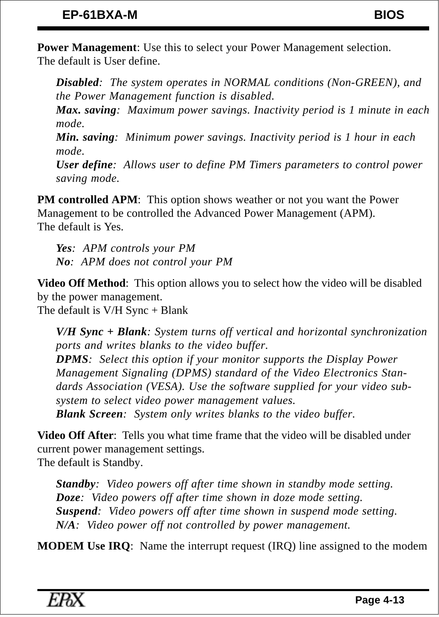**Power Management**: Use this to select your Power Management selection. The default is User define.

*Disabled: The system operates in NORMAL conditions (Non-GREEN), and the Power Management function is disabled. Max. saving: Maximum power savings. Inactivity period is 1 minute in each mode. Min. saving: Minimum power savings. Inactivity period is 1 hour in each mode. User define: Allows user to define PM Timers parameters to control power*

*saving mode.*

**PM controlled APM**: This option shows weather or not you want the Power Management to be controlled the Advanced Power Management (APM). The default is Yes.

*Yes: APM controls your PM No: APM does not control your PM*

**Video Off Method**: This option allows you to select how the video will be disabled by the power management. The default is  $V/H$  Sync + Blank

*V/H Sync + Blank: System turns off vertical and horizontal synchronization ports and writes blanks to the video buffer. DPMS: Select this option if your monitor supports the Display Power Management Signaling (DPMS) standard of the Video Electronics Standards Association (VESA). Use the software supplied for your video subsystem to select video power management values. Blank Screen: System only writes blanks to the video buffer.*

**Video Off After**: Tells you what time frame that the video will be disabled under current power management settings.

The default is Standby.

*Standby: Video powers off after time shown in standby mode setting. Doze: Video powers off after time shown in doze mode setting. Suspend: Video powers off after time shown in suspend mode setting. N/A: Video power off not controlled by power management.*

**MODEM Use IRQ**: Name the interrupt request (IRQ) line assigned to the modem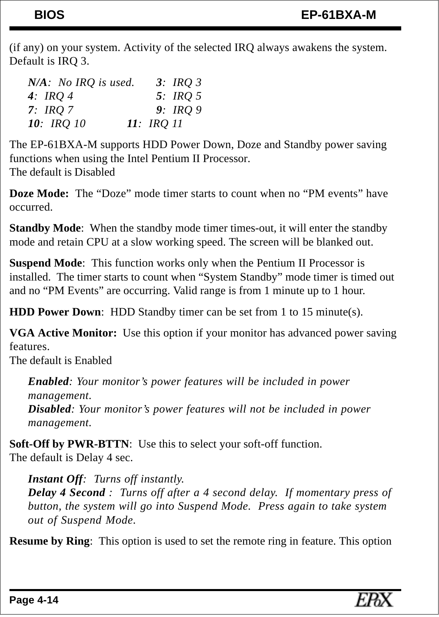(if any) on your system. Activity of the selected IRQ always awakens the system. Default is IRO 3.

| $N/A$ : No IRQ is used. | 3: IRO.3   |
|-------------------------|------------|
| 4: $IRQ4$               | 5: $IRQ$ 5 |
| 7: IRO 7                | 9: IRO9    |
| 10: $IRQ$ 10            | 11: IRQ11  |

The EP-61BXA-M supports HDD Power Down, Doze and Standby power saving functions when using the Intel Pentium II Processor. The default is Disabled

**Doze Mode:** The "Doze" mode timer starts to count when no "PM events" have occurred.

**Standby Mode**: When the standby mode timer times-out, it will enter the standby mode and retain CPU at a slow working speed. The screen will be blanked out.

**Suspend Mode**: This function works only when the Pentium II Processor is installed. The timer starts to count when "System Standby" mode timer is timed out and no "PM Events" are occurring. Valid range is from 1 minute up to 1 hour.

**HDD Power Down**: HDD Standby timer can be set from 1 to 15 minute(s).

**VGA Active Monitor:** Use this option if your monitor has advanced power saving features.

The default is Enabled

*Enabled: Your monitor's power features will be included in power management. Disabled: Your monitor's power features will not be included in power management.*

**Soft-Off by PWR-BTTN**: Use this to select your soft-off function. The default is Delay 4 sec.

*Instant Off: Turns off instantly. Delay 4 Second : Turns off after a 4 second delay. If momentary press of button, the system will go into Suspend Mode. Press again to take system out of Suspend Mode.*

**Resume by Ring**: This option is used to set the remote ring in feature. This option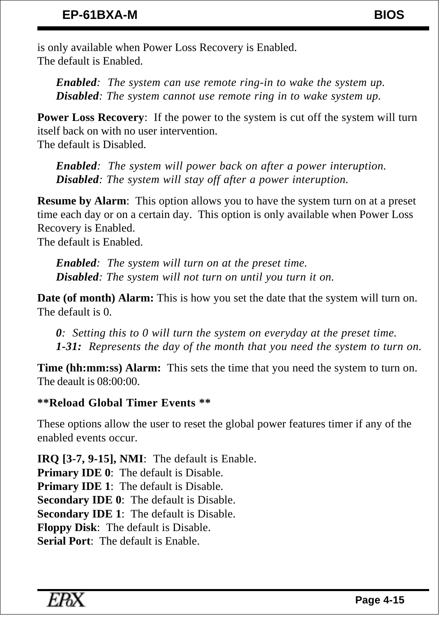is only available when Power Loss Recovery is Enabled. The default is Enabled.

*Enabled: The system can use remote ring-in to wake the system up. Disabled: The system cannot use remote ring in to wake system up.*

**Power Loss Recovery:** If the power to the system is cut off the system will turn itself back on with no user intervention.

The default is Disabled.

*Enabled: The system will power back on after a power interuption. Disabled: The system will stay off after a power interuption.*

**Resume by Alarm:** This option allows you to have the system turn on at a preset time each day or on a certain day. This option is only available when Power Loss Recovery is Enabled.

The default is Enabled.

*Enabled: The system will turn on at the preset time. Disabled: The system will not turn on until you turn it on.*

**Date (of month) Alarm:** This is how you set the date that the system will turn on. The default is 0.

*0: Setting this to 0 will turn the system on everyday at the preset time. 1-31: Represents the day of the month that you need the system to turn on.*

**Time (hh:mm:ss) Alarm:** This sets the time that you need the system to turn on. The deault is 08:00:00.

#### **\*\*Reload Global Timer Events \*\***

These options allow the user to reset the global power features timer if any of the enabled events occur.

**IRQ [3-7, 9-15], NMI**: The default is Enable. **Primary IDE 0**: The default is Disable. **Primary IDE 1**: The default is Disable. **Secondary IDE 0**: The default is Disable. **Secondary IDE 1**: The default is Disable. **Floppy Disk**: The default is Disable. **Serial Port**: The default is Enable.

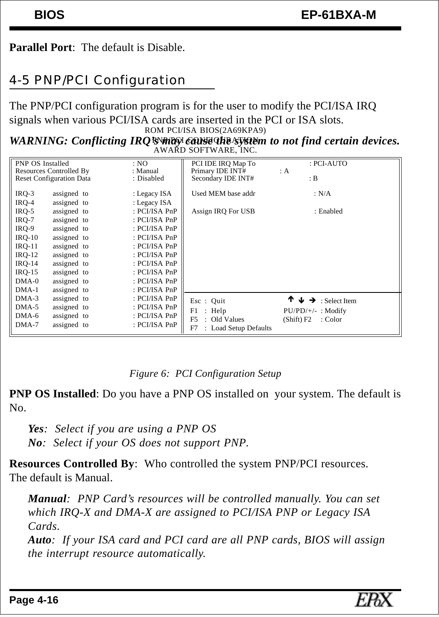**Parallel Port**: The default is Disable.

## 4-5 PNP/PCI Configuration

The PNP/PCI configuration program is for the user to modify the PCI/ISA IRQ signals when various PCI/ISA cards are inserted in the PCI or ISA slots. ROM PCI/ISA BIOS(2A69KPA9)

WARNING: Conflicting IRQ<sup>R</sup>NRAS<sup>T</sup> CANSU THE SYSTEM to not find certain devices. AWARD SOFTWARE, INC.

| <b>PNP OS Installed</b><br>Resources Controlled By<br><b>Reset Configuration Data</b>                                                                                                                                                                                                                                     | :NO<br>: Manual<br>: Disabled                                                                                                                                                                          | PCI IDE IRO Map To<br>Primary IDE INT#<br>Secondary IDE INT#                    | : PCI-AUTO<br>: A<br>: B                                                                |
|---------------------------------------------------------------------------------------------------------------------------------------------------------------------------------------------------------------------------------------------------------------------------------------------------------------------------|--------------------------------------------------------------------------------------------------------------------------------------------------------------------------------------------------------|---------------------------------------------------------------------------------|-----------------------------------------------------------------------------------------|
| $IRQ-3$<br>assigned to<br>$IRQ-4$<br>assigned to<br>$IRQ-5$<br>assigned to<br>$IRO-7$<br>assigned to<br>$IRQ-9$<br>assigned to<br>$IRO-10$<br>assigned to<br>$IRO-11$<br>assigned to<br>$IRO-12$<br>assigned to<br>$IRO-14$<br>assigned to<br>$IRO-15$<br>assigned to<br>$DMA-0$<br>assigned to<br>$DMA-1$<br>assigned to | : Legacy ISA<br>: Legacy ISA<br>: PCI/ISA PnP<br>: PCI/ISA PnP<br>: PCI/ISA PnP<br>: PCI/ISA PnP<br>: PCI/ISA PnP<br>: PCI/ISA PnP<br>: PCI/ISA PnP<br>: PCI/ISA PnP<br>: PCI/ISA PnP<br>: PCI/ISA PnP | Used MEM base addr<br>Assign IRO For USB                                        | : N/A<br>: Enabled                                                                      |
| $DMA-3$<br>assigned to<br>$DMA-5$<br>assigned to<br>$DMA-6$<br>assigned to<br>assigned to<br>$DMA-7$                                                                                                                                                                                                                      | : PCI/ISA PnP<br>: PCI/ISA PnP<br>: PCI/ISA PnP<br>: PCI/ISA PnP                                                                                                                                       | Esc : Quit<br>: Help<br>F1<br>: Old Values<br>F5<br>F7<br>: Load Setup Defaults | ^<br>J.<br>$\rightarrow$ : Select Item<br>$PU/PD/+/-$ : Modify<br>(Shift) F2<br>: Color |

#### *Figure 6: PCI Configuration Setup*

**PNP OS Installed**: Do you have a PNP OS installed on your system. The default is No.

*Yes: Select if you are using a PNP OS*

*No: Select if your OS does not support PNP.*

**Resources Controlled By**: Who controlled the system PNP/PCI resources. The default is Manual.

*Manual: PNP Card's resources will be controlled manually. You can set which IRQ-X and DMA-X are assigned to PCI/ISA PNP or Legacy ISA Cards.*

*Auto: If your ISA card and PCI card are all PNP cards, BIOS will assign the interrupt resource automatically.*

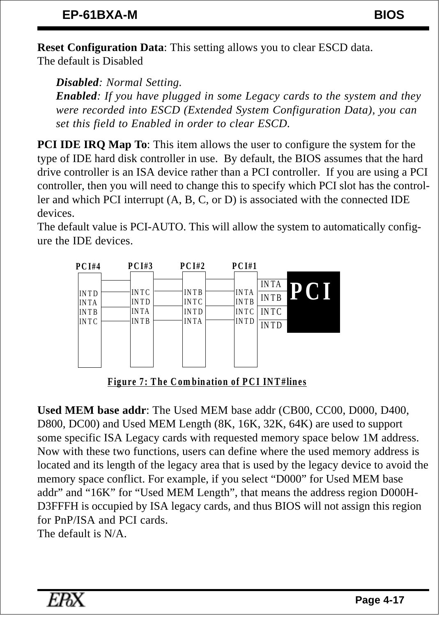**Reset Configuration Data**: This setting allows you to clear ESCD data. The default is Disabled

*Disabled: Normal Setting.*

*Enabled: If you have plugged in some Legacy cards to the system and they were recorded into ESCD (Extended System Configuration Data), you can set this field to Enabled in order to clear ESCD.*

**PCI IDE IRQ Map To:** This item allows the user to configure the system for the type of IDE hard disk controller in use. By default, the BIOS assumes that the hard drive controller is an ISA device rather than a PCI controller. If you are using a PCI controller, then you will need to change this to specify which PCI slot has the controller and which PCI interrupt (A, B, C, or D) is associated with the connected IDE devices.

The default value is PCI-AUTO. This will allow the system to automatically configure the IDE devices.



**Figure 7: The Com bination of PCI INT#lines**

**Used MEM base addr**: The Used MEM base addr (CB00, CC00, D000, D400, D800, DC00) and Used MEM Length (8K, 16K, 32K, 64K) are used to support some specific ISA Legacy cards with requested memory space below 1M address. Now with these two functions, users can define where the used memory address is located and its length of the legacy area that is used by the legacy device to avoid the memory space conflict. For example, if you select "D000" for Used MEM base addr" and "16K" for "Used MEM Length", that means the address region D000H-D3FFFH is occupied by ISA legacy cards, and thus BIOS will not assign this region for PnP/ISA and PCI cards.

The default is N/A.

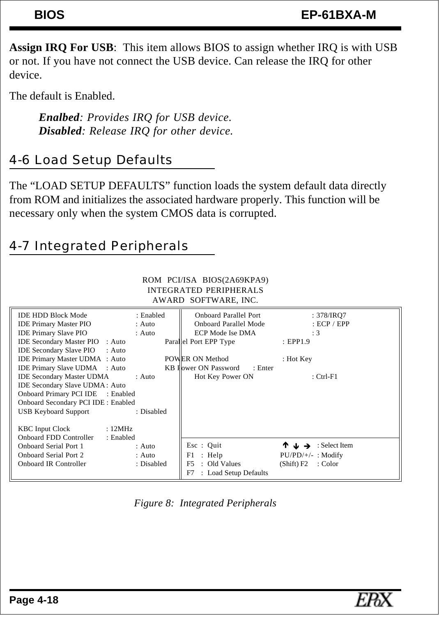**Assign IRQ For USB**: This item allows BIOS to assign whether IRQ is with USB or not. If you have not connect the USB device. Can release the IRQ for other device.

The default is Enabled.

*Enalbed: Provides IRQ for USB device. Disabled: Release IRQ for other device.*

## 4-6 Load Setup Defaults

The "LOAD SETUP DEFAULTS" function loads the system default data directly from ROM and initializes the associated hardware properly. This function will be necessary only when the system CMOS data is corrupted.

> ROM PCI/ISA BIOS(2A69KPA9) INTEGRATED PERIPHERALS

| AWARD SOFTWARE, INC.                   |            |                               |                                                 |  |  |
|----------------------------------------|------------|-------------------------------|-------------------------------------------------|--|--|
| <b>IDE HDD Block Mode</b>              | : Enabled  | <b>Onboard Parallel Port</b>  | : 378/IRO7                                      |  |  |
| <b>IDE Primary Master PIO</b>          | : Auto     | <b>Onboard Parallel Mode</b>  | ECP / EPP                                       |  |  |
| <b>IDE Primary Slave PIO</b>           | : Auto     | ECP Mode Ise DMA              | :3                                              |  |  |
| <b>IDE Secondary Master PIO</b> : Auto |            | Parallel Port EPP Type        | EPP1.9                                          |  |  |
| IDE Secondary Slave PIO : Auto         |            |                               |                                                 |  |  |
| <b>IDE Primary Master UDMA</b> : Auto  |            | POWER ON Method               | : Hot Key                                       |  |  |
| <b>IDE Primary Slave UDMA</b> : Auto   |            | KB I bwer ON Password : Enter |                                                 |  |  |
| <b>IDE Secondary Master UDMA</b>       | : Auto     | Hot Key Power ON              | $:$ Ctrl-F1                                     |  |  |
| <b>IDE Secondary Slave UDMA: Auto</b>  |            |                               |                                                 |  |  |
| Onboard Primary PCI IDE : Enabled      |            |                               |                                                 |  |  |
| Onboard Secondary PCI IDE: Enabled     |            |                               |                                                 |  |  |
| <b>USB Keyboard Support</b>            | : Disabled |                               |                                                 |  |  |
|                                        |            |                               |                                                 |  |  |
| : 12MHz<br><b>KBC</b> Input Clock      |            |                               |                                                 |  |  |
| Onboard FDD Controller<br>: Enabled    |            |                               |                                                 |  |  |
| <b>Onboard Serial Port 1</b>           | $:$ Auto   | Esc : Quit                    | $\uparrow \downarrow \rightarrow$ : Select Item |  |  |
| <b>Onboard Serial Port 2</b>           | : Auto     | : Help<br>F1                  | $PU/PD/+/-$ : Modify                            |  |  |
| Onboard IR Controller                  | : Disabled | : Old Values<br>F5            | (Shift) F2<br>: Color                           |  |  |
|                                        |            | F7<br>: Load Setup Defaults   |                                                 |  |  |

#### 4-7 Integrated Peripherals

*Figure 8: Integrated Peripherals*

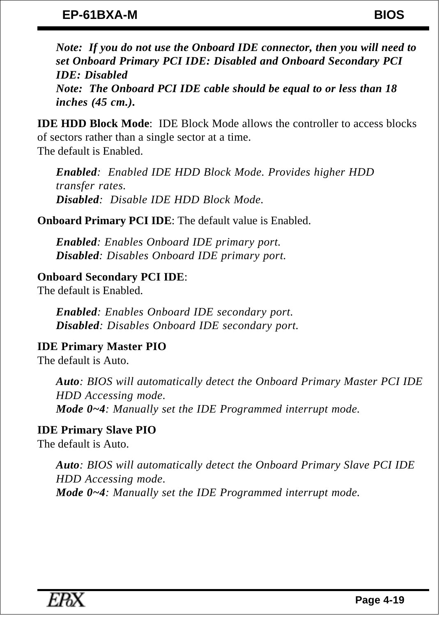*Note: If you do not use the Onboard IDE connector, then you will need to set Onboard Primary PCI IDE: Disabled and Onboard Secondary PCI IDE: Disabled Note: The Onboard PCI IDE cable should be equal to or less than 18 inches (45 cm.).*

**IDE HDD Block Mode**: IDE Block Mode allows the controller to access blocks of sectors rather than a single sector at a time. The default is Enabled.

*Enabled: Enabled IDE HDD Block Mode. Provides higher HDD transfer rates. Disabled: Disable IDE HDD Block Mode.*

**Onboard Primary PCI IDE**: The default value is Enabled.

*Enabled: Enables Onboard IDE primary port. Disabled: Disables Onboard IDE primary port.*

#### **Onboard Secondary PCI IDE**:

The default is Enabled.

*Enabled: Enables Onboard IDE secondary port. Disabled: Disables Onboard IDE secondary port.*

**IDE Primary Master PIO** The default is Auto.

> *Auto: BIOS will automatically detect the Onboard Primary Master PCI IDE HDD Accessing mode. Mode 0~4: Manually set the IDE Programmed interrupt mode.*

#### **IDE Primary Slave PIO**

The default is Auto.

*Auto: BIOS will automatically detect the Onboard Primary Slave PCI IDE HDD Accessing mode. Mode 0~4: Manually set the IDE Programmed interrupt mode.*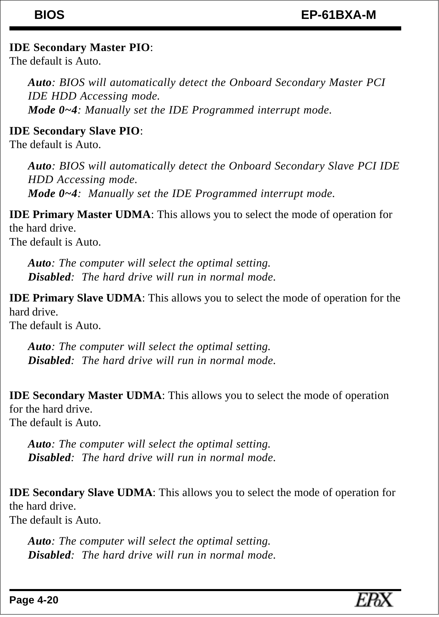#### **IDE Secondary Master PIO**:

The default is Auto.

*Auto: BIOS will automatically detect the Onboard Secondary Master PCI IDE HDD Accessing mode. Mode 0~4: Manually set the IDE Programmed interrupt mode.*

#### **IDE Secondary Slave PIO**:

The default is Auto.

*Auto: BIOS will automatically detect the Onboard Secondary Slave PCI IDE HDD Accessing mode. Mode 0~4: Manually set the IDE Programmed interrupt mode.*

**IDE Primary Master UDMA**: This allows you to select the mode of operation for the hard drive. The default is Auto.

*Auto: The computer will select the optimal setting. Disabled: The hard drive will run in normal mode.*

**IDE Primary Slave UDMA**: This allows you to select the mode of operation for the hard drive.

The default is Auto.

*Auto: The computer will select the optimal setting. Disabled: The hard drive will run in normal mode.*

**IDE Secondary Master UDMA**: This allows you to select the mode of operation for the hard drive. The default is Auto.

*Auto: The computer will select the optimal setting. Disabled: The hard drive will run in normal mode.*

**IDE Secondary Slave UDMA**: This allows you to select the mode of operation for the hard drive.

The default is Auto.

*Auto: The computer will select the optimal setting. Disabled: The hard drive will run in normal mode.*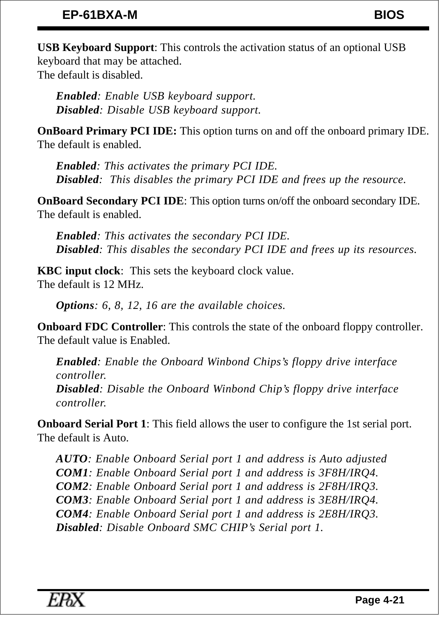**USB Keyboard Support**: This controls the activation status of an optional USB keyboard that may be attached.

The default is disabled.

*Enabled: Enable USB keyboard support. Disabled: Disable USB keyboard support.*

**OnBoard Primary PCI IDE:** This option turns on and off the onboard primary IDE. The default is enabled.

*Enabled: This activates the primary PCI IDE. Disabled: This disables the primary PCI IDE and frees up the resource.*

**OnBoard Secondary PCI IDE**: This option turns on/off the onboard secondary IDE. The default is enabled.

*Enabled: This activates the secondary PCI IDE. Disabled: This disables the secondary PCI IDE and frees up its resources.*

**KBC input clock**: This sets the keyboard clock value. The default is 12 MHz.

*Options: 6, 8, 12, 16 are the available choices.*

**Onboard FDC Controller:** This controls the state of the onboard floppy controller. The default value is Enabled.

*Enabled: Enable the Onboard Winbond Chips's floppy drive interface controller. Disabled: Disable the Onboard Winbond Chip's floppy drive interface controller.*

**Onboard Serial Port 1**: This field allows the user to configure the 1st serial port. The default is Auto.

*AUTO: Enable Onboard Serial port 1 and address is Auto adjusted COM1: Enable Onboard Serial port 1 and address is 3F8H/IRQ4. COM2: Enable Onboard Serial port 1 and address is 2F8H/IRQ3. COM3: Enable Onboard Serial port 1 and address is 3E8H/IRQ4. COM4: Enable Onboard Serial port 1 and address is 2E8H/IRQ3. Disabled: Disable Onboard SMC CHIP's Serial port 1.*

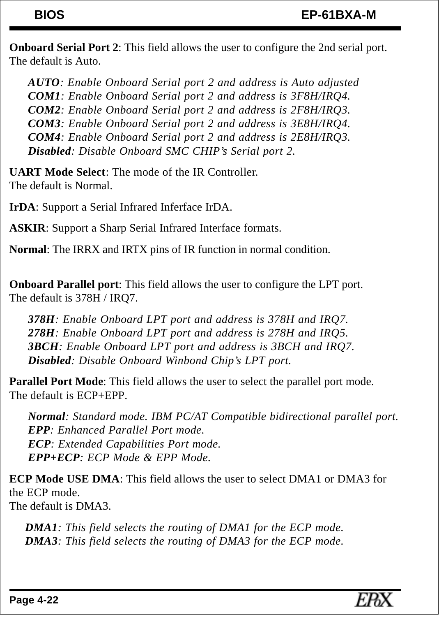**Onboard Serial Port 2**: This field allows the user to configure the 2nd serial port. The default is Auto.

*AUTO: Enable Onboard Serial port 2 and address is Auto adjusted COM1: Enable Onboard Serial port 2 and address is 3F8H/IRQ4. COM2: Enable Onboard Serial port 2 and address is 2F8H/IRQ3. COM3: Enable Onboard Serial port 2 and address is 3E8H/IRQ4. COM4: Enable Onboard Serial port 2 and address is 2E8H/IRQ3. Disabled: Disable Onboard SMC CHIP's Serial port 2.*

**UART Mode Select**: The mode of the IR Controller. The default is Normal.

**IrDA**: Support a Serial Infrared Inferface IrDA.

**ASKIR**: Support a Sharp Serial Infrared Interface formats.

**Normal**: The IRRX and IRTX pins of IR function in normal condition.

**Onboard Parallel port**: This field allows the user to configure the LPT port. The default is 378H / IRQ7.

*378H: Enable Onboard LPT port and address is 378H and IRQ7. 278H: Enable Onboard LPT port and address is 278H and IRQ5. 3BCH: Enable Onboard LPT port and address is 3BCH and IRQ7. Disabled: Disable Onboard Winbond Chip's LPT port.*

**Parallel Port Mode**: This field allows the user to select the parallel port mode. The default is ECP+EPP.

*Normal: Standard mode. IBM PC/AT Compatible bidirectional parallel port. EPP: Enhanced Parallel Port mode. ECP: Extended Capabilities Port mode. EPP+ECP: ECP Mode & EPP Mode.*

**ECP Mode USE DMA**: This field allows the user to select DMA1 or DMA3 for the ECP mode. The default is DMA3.

*DMA1: This field selects the routing of DMA1 for the ECP mode. DMA3: This field selects the routing of DMA3 for the ECP mode.*

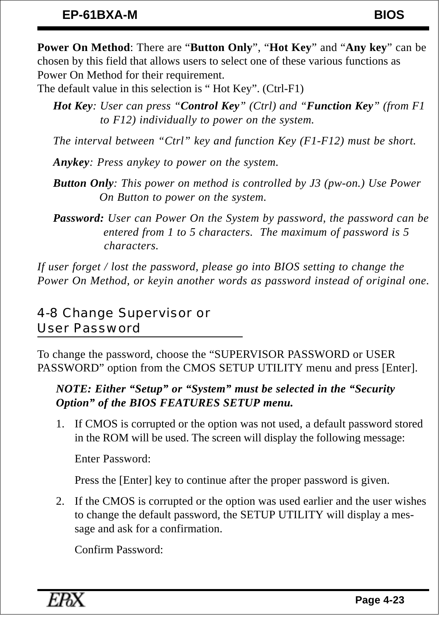**Power On Method**: There are "**Button Only**", "**Hot Key**" and "**Any key**" can be chosen by this field that allows users to select one of these various functions as Power On Method for their requirement.

The default value in this selection is " Hot Key". (Ctrl-F1)

*Hot Key: User can press "Control Key" (Ctrl) and "Function Key" (from F1 to F12) individually to power on the system.*

*The interval between "Ctrl" key and function Key (F1-F12) must be short.*

*Anykey: Press anykey to power on the system.*

*Button Only: This power on method is controlled by J3 (pw-on.) Use Power On Button to power on the system.*

*Password: User can Power On the System by password, the password can be entered from 1 to 5 characters. The maximum of password is 5 characters.*

*If user forget / lost the password, please go into BIOS setting to change the Power On Method, or keyin another words as password instead of original one.*

4-8 Change Supervisor or User Password

To change the password, choose the "SUPERVISOR PASSWORD or USER PASSWORD" option from the CMOS SETUP UTILITY menu and press [Enter].

#### *NOTE: Either "Setup" or "System" must be selected in the "Security Option" of the BIOS FEATURES SETUP menu.*

1. If CMOS is corrupted or the option was not used, a default password stored in the ROM will be used. The screen will display the following message:

Enter Password:

Press the [Enter] key to continue after the proper password is given.

2. If the CMOS is corrupted or the option was used earlier and the user wishes to change the default password, the SETUP UTILITY will display a message and ask for a confirmation.

Confirm Password:

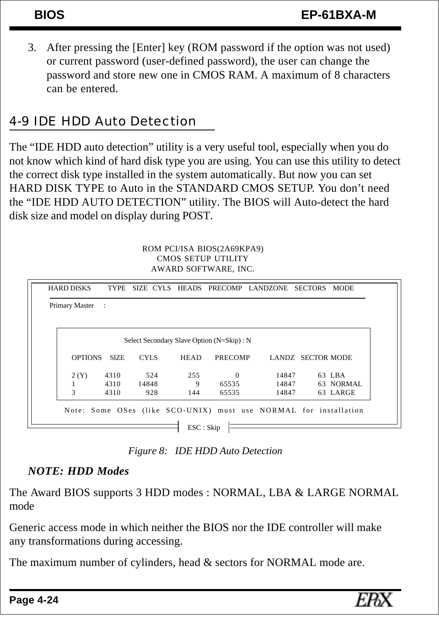3. After pressing the [Enter] key (ROM password if the option was not used) or current password (user-defined password), the user can change the password and store new one in CMOS RAM. A maximum of 8 characters can be entered.

#### 4-9 IDE HDD Auto Detection

The "IDE HDD auto detection" utility is a very useful tool, especially when you do not know which kind of hard disk type you are using. You can use this utility to detect the correct disk type installed in the system automatically. But now you can set HARD DISK TYPE to Auto in the STANDARD CMOS SETUP. You don't need the "IDE HDD AUTO DETECTION" utility. The BIOS will Auto-detect the hard disk size and model on display during POST.

> ROM PCI/ISA BIOS(2A69KPA9) CMOS SETUP UTILITY AWARD SOFTWARE, INC.

|                |             |             |             | Select Secondary Slave Option (N=Skip) : N |       |                          |  |
|----------------|-------------|-------------|-------------|--------------------------------------------|-------|--------------------------|--|
| <b>OPTIONS</b> | <b>SIZE</b> | <b>CYLS</b> | <b>HEAD</b> | <b>PRECOMP</b>                             |       | <b>LANDZ SECTOR MODE</b> |  |
| 2(Y)           | 4310        | 524         | 255         | $\Omega$                                   | 14847 | 63 LBA                   |  |
|                | 4310        | 14848       | 9           | 65535                                      | 14847 | 63 NORMAL                |  |
| 3              | 4310        | 928         | 144         | 65535                                      | 14847 | 63 LARGE                 |  |

*Figure 8: IDE HDD Auto Detection*

#### *NOTE: HDD Modes*

The Award BIOS supports 3 HDD modes : NORMAL, LBA & LARGE NORMAL mode

Generic access mode in which neither the BIOS nor the IDE controller will make any transformations during accessing.

The maximum number of cylinders, head & sectors for NORMAL mode are.

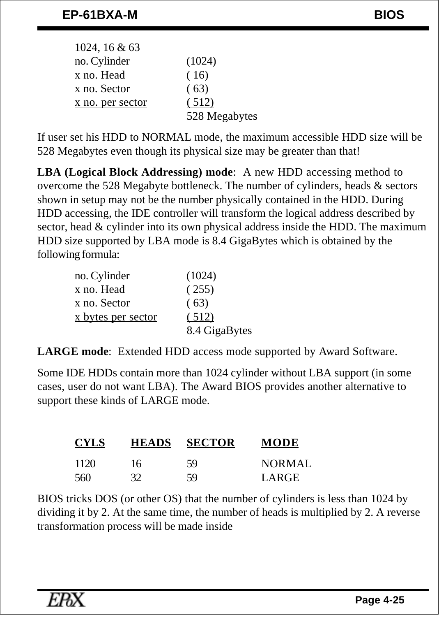| 1024, 16 & 63    |               |
|------------------|---------------|
| no. Cylinder     | (1024)        |
| x no. Head       | (16)          |
| x no. Sector     | (63)          |
| x no. per sector | (512)         |
|                  | 528 Megabytes |

If user set his HDD to NORMAL mode, the maximum accessible HDD size will be 528 Megabytes even though its physical size may be greater than that!

**LBA (Logical Block Addressing) mode**: A new HDD accessing method to overcome the 528 Megabyte bottleneck. The number of cylinders, heads & sectors shown in setup may not be the number physically contained in the HDD. During HDD accessing, the IDE controller will transform the logical address described by sector, head & cylinder into its own physical address inside the HDD. The maximum HDD size supported by LBA mode is 8.4 GigaBytes which is obtained by the following formula:

| (1024)        |
|---------------|
| (255)         |
| (63)          |
| (512)         |
| 8.4 GigaBytes |
|               |

**LARGE mode**: Extended HDD access mode supported by Award Software.

Some IDE HDDs contain more than 1024 cylinder without LBA support (in some cases, user do not want LBA). The Award BIOS provides another alternative to support these kinds of LARGE mode.

| <b>CYLS</b> | <b>HEADS</b> | <b>SECTOR</b> | <b>MODE</b> |
|-------------|--------------|---------------|-------------|
| 1120        | 16           | 59            | NORMAL      |
| 560         | 32           | 59            | LARGE       |

BIOS tricks DOS (or other OS) that the number of cylinders is less than 1024 by dividing it by 2. At the same time, the number of heads is multiplied by 2. A reverse transformation process will be made inside

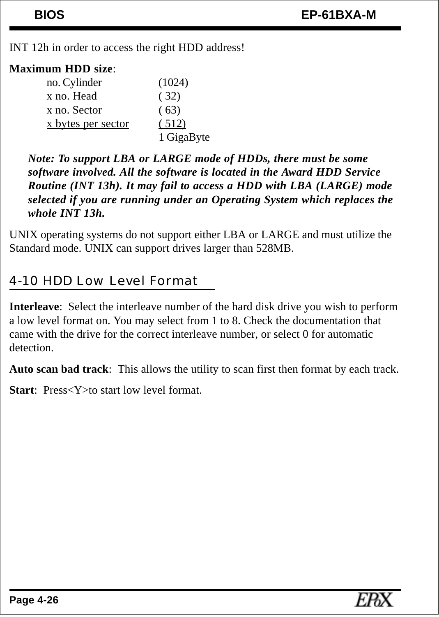INT 12h in order to access the right HDD address!

#### **Maximum HDD size**:

| no. Cylinder              | (1024)     |
|---------------------------|------------|
| x no. Head                | (32)       |
| x no. Sector              | (63)       |
| <u>x bytes per sector</u> | (512)      |
|                           | 1 GigaByte |

*Note: To support LBA or LARGE mode of HDDs, there must be some software involved. All the software is located in the Award HDD Service Routine (INT 13h). It may fail to access a HDD with LBA (LARGE) mode selected if you are running under an Operating System which replaces the whole INT 13h.*

UNIX operating systems do not support either LBA or LARGE and must utilize the Standard mode. UNIX can support drives larger than 528MB.

## 4-10 HDD Low Level Format

**Interleave**: Select the interleave number of the hard disk drive you wish to perform a low level format on. You may select from 1 to 8. Check the documentation that came with the drive for the correct interleave number, or select 0 for automatic detection.

**Auto scan bad track**: This allows the utility to scan first then format by each track.

**Start**: Press<Y>to start low level format.

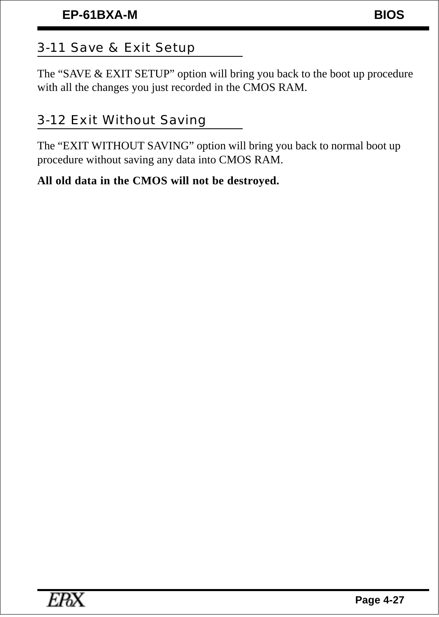## 3-11 Save & Exit Setup

The "SAVE & EXIT SETUP" option will bring you back to the boot up procedure with all the changes you just recorded in the CMOS RAM.

#### 3-12 Exit Without Saving

The "EXIT WITHOUT SAVING" option will bring you back to normal boot up procedure without saving any data into CMOS RAM.

#### **All old data in the CMOS will not be destroyed.**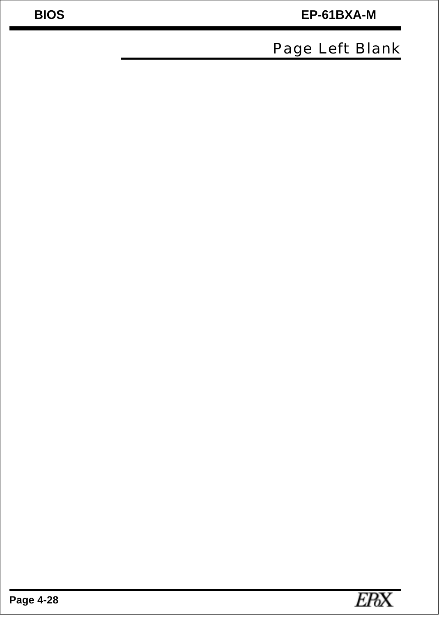# Page Left Blank

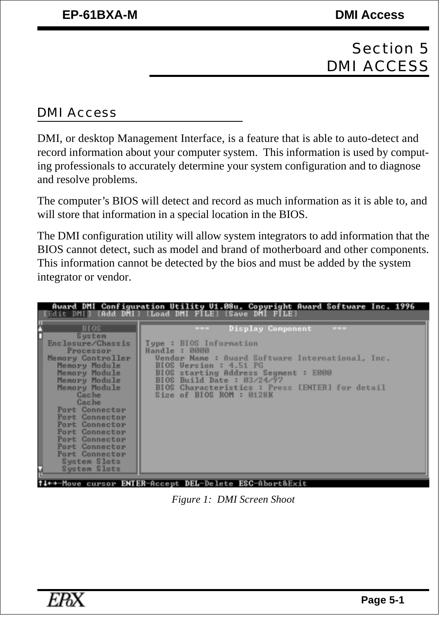## Section 5 DMI ACCESS

#### DMI Access

DMI, or desktop Management Interface, is a feature that is able to auto-detect and record information about your computer system. This information is used by computing professionals to accurately determine your system configuration and to diagnose and resolve problems.

The computer's BIOS will detect and record as much information as it is able to, and will store that information in a special location in the BIOS.

The DMI configuration utility will allow system integrators to add information that the BIOS cannot detect, such as model and brand of motherboard and other components. This information cannot be detected by the bios and must be added by the system integrator or vendor.

|                                                                                                                                                                                                                                                                                                                                  | Award DMI Configuration Utility U1.08u, Copyright Award Software Inc. 1996<br>TEdit DMIT [Add DMI] [Load DMI FILE] [Save DMI FILE]                                                                                                                                                                                                          |
|----------------------------------------------------------------------------------------------------------------------------------------------------------------------------------------------------------------------------------------------------------------------------------------------------------------------------------|---------------------------------------------------------------------------------------------------------------------------------------------------------------------------------------------------------------------------------------------------------------------------------------------------------------------------------------------|
| <b>BIOS</b><br>System<br>Enclosure/Chassis<br>Processor<br>Memory Controller<br>Memory Module<br>Memory Module<br>Memory Module<br>Memory Module<br>Cache<br>Cache<br>Port Connector<br>Port Connector<br>Port Connector<br>Port Connector<br>Port Connector<br>Port Connector<br>Port Connector<br>System Slots<br>System Slots | Display Component<br>$\qquad \qquad - \qquad$<br>---<br>Type : BIOS Information<br>Handle : 0000<br><b>Uendor Name: Award Software International, Inc.</b><br>BIOS Version : 4.51 PG<br>BIOS starting Address Segment : E000<br>BIOS Build Date : $03/24/97$<br>BIOS Characteristics : Press [ENTER] for detail<br>Size of BIOS ROM : 0128K |
|                                                                                                                                                                                                                                                                                                                                  | -Move cursor <b>ENTER</b> -Accept <b>DEL</b> -Delete ESC-Abort&Exit                                                                                                                                                                                                                                                                         |

*Figure 1: DMI Screen Shoot*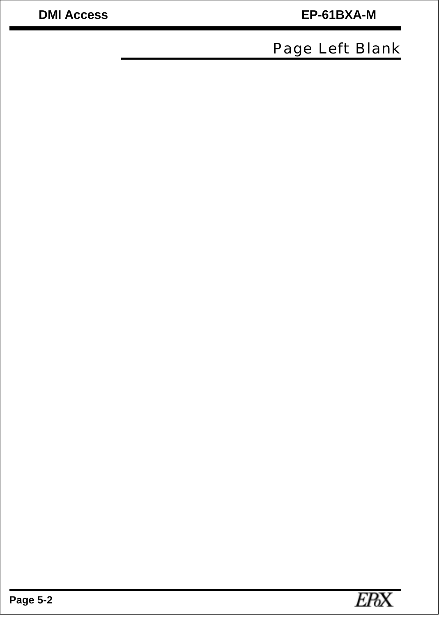# Page Left Blank

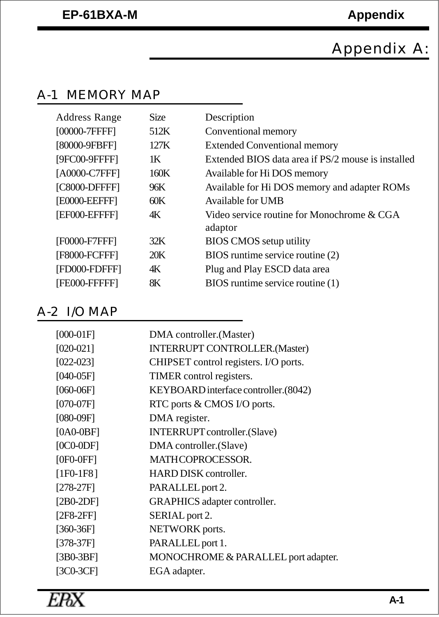# Appendix A:

#### A-1 MEMORY MAP

| <b>Address Range</b> | <b>Size</b> | Description                                           |
|----------------------|-------------|-------------------------------------------------------|
| $[00000-7$ FFFFI     | 512K        | Conventional memory                                   |
| [80000-9FBFF]        | 127K        | <b>Extended Conventional memory</b>                   |
| [9FC00-9FFFF]        | 1Κ          | Extended BIOS data area if PS/2 mouse is installed    |
| [A0000-C7FFF]        | 160K        | Available for Hi DOS memory                           |
| [C8000-DFFFF]        | 96K         | Available for Hi DOS memory and adapter ROMs          |
| [E0000-EEFFF]        | 60K         | Available for UMB                                     |
| <b>[EF000-EFFFF]</b> | 4K          | Video service routine for Monochrome & CGA<br>adaptor |
| [F0000-F7FFF]        | 32K         | <b>BIOS CMOS</b> setup utility                        |
| [F8000-FCFFF]        | 20K         | BIOS runtime service routine (2)                      |
| [FD000-FDFFF]        | 4K          | Plug and Play ESCD data area                          |
| <b>IFE000-FFFFFI</b> | 8K          | BIOS runtime service routine (1)                      |

#### A-2 I/O MAP

| $[000-01$ Fl  | DMA controller. (Master)              |
|---------------|---------------------------------------|
| $[020-021]$   | <b>INTERRUPT CONTROLLER.</b> (Master) |
| $[022-023]$   | CHIPSET control registers. I/O ports. |
| [040-05F]     | TIMER control registers.              |
| $[060-06F]$   | KEYBOARD interface controller. (8042) |
| $[070-07F]$   | RTC ports & CMOS I/O ports.           |
| $[080-09F]$   | DMA register.                         |
| $[0A0-0BF]$   | (Slave) INTERRUPT controller.         |
| $[0C0-0DF]$   | DMA controller. (Slave)               |
| $[0F0-0FF]$   | <b>MATHCOPROCESSOR.</b>               |
| $[1F0-1F8]$   | HARD DISK controller.                 |
| $[278-27F]$   | PARALLEL port 2.                      |
| $[2B0-2DF]$   | GRAPHICS adapter controller.          |
| $[2F8-2FF]$   | SERIAL port 2.                        |
| $[360 - 36F]$ | NETWORK ports.                        |
| [378-37F]     | PARALLEL port 1.                      |
| $[3B0-3BF]$   | MONOCHROME & PARALLEL port adapter.   |
| [3C0-3CF]     | EGA adapter.                          |

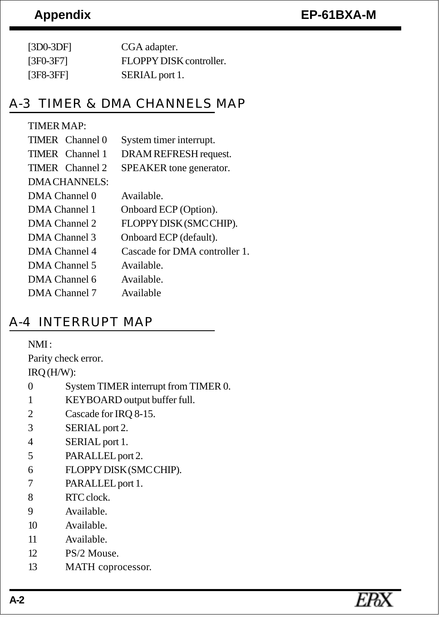| $[3D0-3DF]$ | CGA adapter.            |
|-------------|-------------------------|
| $[3F0-3F7]$ | FLOPPY DISK controller. |
| $[3F8-3FF]$ | SERIAL port 1.          |

#### A-3 TIMER & DMA CHANNELS MAP

#### TIMER MAP:

| TIMER Channel 0 | System timer interrupt.       |
|-----------------|-------------------------------|
| TIMER Channel 1 | DRAM REFRESH request.         |
| TIMER Channel 2 | SPEAKER tone generator.       |
| DMA CHANNELS:   |                               |
| DMA Channel 0   | Available.                    |
| DMA Channel 1   | Onboard ECP (Option).         |
| DMA Channel 2   | FLOPPY DISK (SMCCHIP).        |
| DMA Channel 3   | Onboard ECP (default).        |
| DMA Channel 4   | Cascade for DMA controller 1. |
| DMA Channel 5   | Available.                    |
| DMA Channel 6   | Available.                    |
| DMA Channel 7   | Available                     |
|                 |                               |

#### A-4 INTERRUPT MAP

NMI :

Parity check error.

IRQ (H/W):

- 0 System TIMER interrupt from TIMER 0.
- 1 KEYBOARD output buffer full.
- 2 Cascade for IRQ 8-15.
- 3 SERIAL port 2.
- 4 SERIAL port 1.
- 5 PARALLEL port 2.
- 6 FLOPPY DISK (SMC CHIP).
- 7 PARALLEL port 1.
- 8 RTC clock.
- 9 Available.
- 10 Available.
- 11 Available.
- 12 PS/2 Mouse.
- 13 MATH coprocessor.

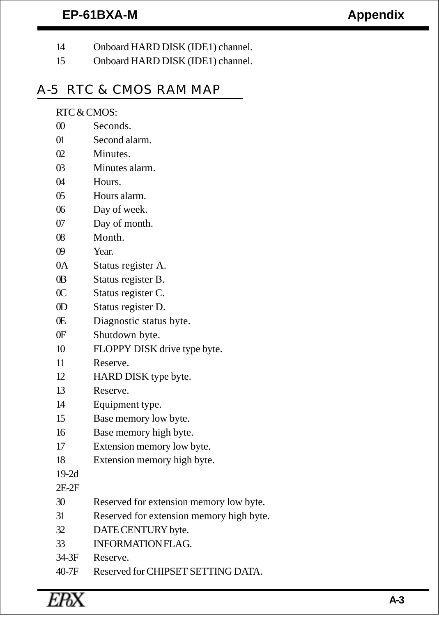- 14 Onboard HARD DISK (IDE1) channel.
- 15 Onboard HARD DISK (IDE1) channel.

#### A-5 RTC & CMOS RAM MAP

#### RTC & CMOS:

- 00 Seconds. 01 Second alarm. 02 Minutes. 03 Minutes alarm. 04 Hours. 05 Hours alarm. 06 Day of week. 07 Day of month. 08 Month. 09 Year. 0A Status register A. 0B Status register B. 0C Status register C. 0D Status register D. 0E Diagnostic status byte. 0F Shutdown byte. 10 FLOPPY DISK drive type byte. 11 Reserve. 12 HARD DISK type byte. 13 Reserve. 14 Equipment type. 15 Base memory low byte. 16 Base memory high byte. 17 Extension memory low byte. 18 Extension memory high byte. 19-2d 2E-2F 30 Reserved for extension memory low byte. 31 Reserved for extension memory high byte. 32 DATE CENTURY byte. 33 INFORMATION FLAG.
	- 34-3F Reserve.
	- 40-7F Reserved for CHIPSET SETTING DATA.

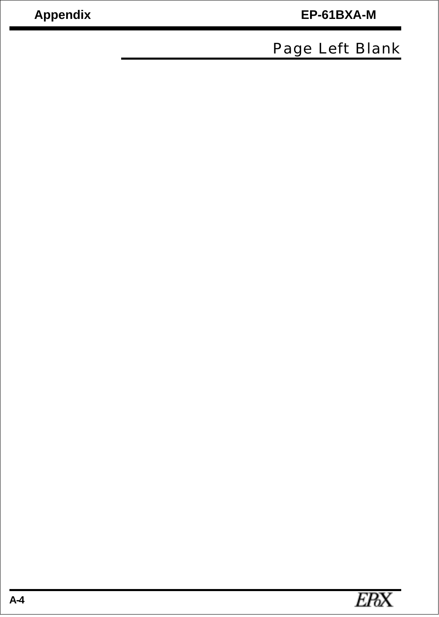# Page Left Blank

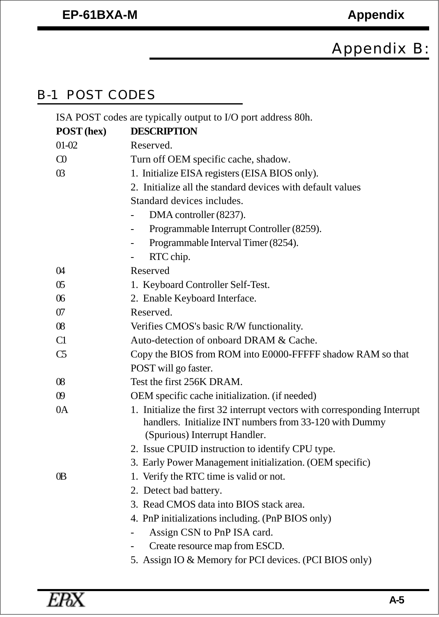# Appendix B:

## B-1 POST CODES

|                 | ISA POST codes are typically output to I/O port address 80h.                                                                                                          |  |
|-----------------|-----------------------------------------------------------------------------------------------------------------------------------------------------------------------|--|
| POST (hex)      | <b>DESCRIPTION</b>                                                                                                                                                    |  |
| $01-02$         | Reserved.                                                                                                                                                             |  |
| $\Omega$        | Turn off OEM specific cache, shadow.                                                                                                                                  |  |
| $\overline{03}$ | 1. Initialize EISA registers (EISA BIOS only).                                                                                                                        |  |
|                 | 2. Initialize all the standard devices with default values                                                                                                            |  |
|                 | Standard devices includes.                                                                                                                                            |  |
|                 | DMA controller (8237).                                                                                                                                                |  |
|                 | Programmable Interrupt Controller (8259).                                                                                                                             |  |
|                 | Programmable Interval Timer (8254).<br>$\overline{\phantom{a}}$                                                                                                       |  |
|                 | RTC chip.<br>$\frac{1}{2}$                                                                                                                                            |  |
| $\Omega$        | Reserved                                                                                                                                                              |  |
| 05              | 1. Keyboard Controller Self-Test.                                                                                                                                     |  |
| 06              | 2. Enable Keyboard Interface.                                                                                                                                         |  |
| 07              | Reserved.                                                                                                                                                             |  |
| 08              | Verifies CMOS's basic R/W functionality.                                                                                                                              |  |
| C1              | Auto-detection of onboard DRAM & Cache.                                                                                                                               |  |
| C <sub>5</sub>  | Copy the BIOS from ROM into E0000-FFFFF shadow RAM so that                                                                                                            |  |
|                 | POST will go faster.                                                                                                                                                  |  |
| 08              | Test the first 256K DRAM.                                                                                                                                             |  |
| 09              | OEM specific cache initialization. (if needed)                                                                                                                        |  |
| 0A              | 1. Initialize the first 32 interrupt vectors with corresponding Interrupt<br>handlers. Initialize INT numbers from 33-120 with Dummy<br>(Spurious) Interrupt Handler. |  |
|                 | 2. Issue CPUID instruction to identify CPU type.                                                                                                                      |  |
|                 | 3. Early Power Management initialization. (OEM specific)                                                                                                              |  |
| <b>OB</b>       | 1. Verify the RTC time is valid or not.                                                                                                                               |  |
|                 | 2. Detect bad battery.                                                                                                                                                |  |
|                 | 3. Read CMOS data into BIOS stack area.                                                                                                                               |  |
|                 | 4. PnP initializations including. (PnP BIOS only)                                                                                                                     |  |
|                 | Assign CSN to PnP ISA card.<br>$\frac{1}{2}$                                                                                                                          |  |
|                 | Create resource map from ESCD.                                                                                                                                        |  |
|                 | 5. Assign IO & Memory for PCI devices. (PCI BIOS only)                                                                                                                |  |
|                 |                                                                                                                                                                       |  |

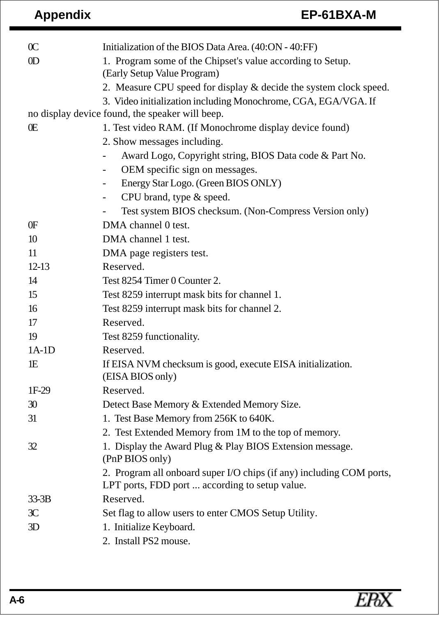| $\alpha$                                        | Initialization of the BIOS Data Area. (40:ON - 40:FF)                                                                  |  |
|-------------------------------------------------|------------------------------------------------------------------------------------------------------------------------|--|
| 0D                                              | 1. Program some of the Chipset's value according to Setup.<br>(Early Setup Value Program)                              |  |
|                                                 | 2. Measure CPU speed for display & decide the system clock speed.                                                      |  |
|                                                 | 3. Video initialization including Monochrome, CGA, EGA/VGA. If                                                         |  |
| no display device found, the speaker will beep. |                                                                                                                        |  |
| Œ                                               | 1. Test video RAM. (If Monochrome display device found)                                                                |  |
|                                                 | 2. Show messages including.                                                                                            |  |
|                                                 | Award Logo, Copyright string, BIOS Data code & Part No.                                                                |  |
|                                                 | OEM specific sign on messages.<br>$\overline{\phantom{m}}$                                                             |  |
|                                                 | Energy Star Logo. (Green BIOS ONLY)<br>$\overline{\phantom{m}}$                                                        |  |
|                                                 | CPU brand, type & speed.<br>$\overline{\phantom{a}}$                                                                   |  |
|                                                 | Test system BIOS checksum. (Non-Compress Version only)                                                                 |  |
| 0F                                              | DMA channel 0 test.                                                                                                    |  |
| 10                                              | DMA channel 1 test.                                                                                                    |  |
| 11                                              | DMA page registers test.                                                                                               |  |
| $12 - 13$                                       | Reserved.                                                                                                              |  |
| 14                                              | Test 8254 Timer 0 Counter 2.                                                                                           |  |
| 15                                              | Test 8259 interrupt mask bits for channel 1.                                                                           |  |
| 16                                              | Test 8259 interrupt mask bits for channel 2.                                                                           |  |
| 17                                              | Reserved.                                                                                                              |  |
| 19                                              | Test 8259 functionality.                                                                                               |  |
| 1A-1D                                           | Reserved.                                                                                                              |  |
| 1E                                              | If EISA NVM checksum is good, execute EISA initialization.                                                             |  |
|                                                 | (EISA BIOS only)                                                                                                       |  |
| 1F-29                                           | Reserved.                                                                                                              |  |
| 30                                              | Detect Base Memory & Extended Memory Size.                                                                             |  |
| 31                                              | 1. Test Base Memory from 256K to 640K.                                                                                 |  |
|                                                 | 2. Test Extended Memory from 1M to the top of memory.                                                                  |  |
| 32                                              | 1. Display the Award Plug & Play BIOS Extension message.<br>(PnP BIOS only)                                            |  |
|                                                 | 2. Program all onboard super I/O chips (if any) including COM ports,<br>LPT ports, FDD port  according to setup value. |  |
| $33-3B$                                         | Reserved.                                                                                                              |  |
| 3C                                              | Set flag to allow users to enter CMOS Setup Utility.                                                                   |  |
| 3D                                              | 1. Initialize Keyboard.                                                                                                |  |
|                                                 | 2. Install PS2 mouse.                                                                                                  |  |

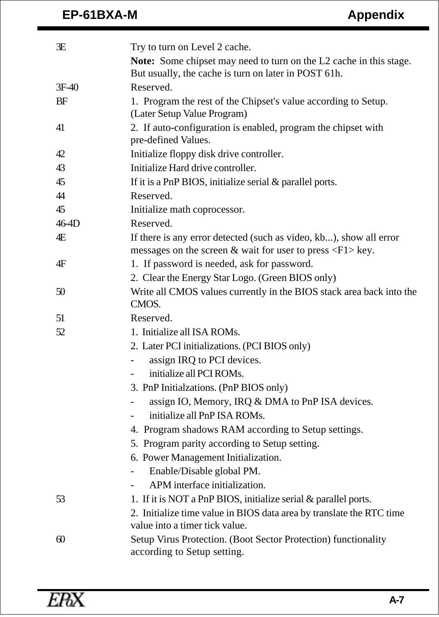| 3E    | Try to turn on Level 2 cache.                                                |  |
|-------|------------------------------------------------------------------------------|--|
|       | Note: Some chipset may need to turn on the L2 cache in this stage.           |  |
|       | But usually, the cache is turn on later in POST 61h.                         |  |
| 3F-40 | Reserved.                                                                    |  |
| BF    | 1. Program the rest of the Chipset's value according to Setup.               |  |
|       | (Later Setup Value Program)                                                  |  |
| 41    | 2. If auto-configuration is enabled, program the chipset with                |  |
|       | pre-defined Values.                                                          |  |
| 42    | Initialize floppy disk drive controller.                                     |  |
| 43    | Initialize Hard drive controller.                                            |  |
| 45    | If it is a PnP BIOS, initialize serial $&$ parallel ports.                   |  |
| 44    | Reserved.                                                                    |  |
| 45    | Initialize math coprocessor.                                                 |  |
| 46-4D | Reserved.                                                                    |  |
| 4E    | If there is any error detected (such as video, kb), show all error           |  |
|       | messages on the screen $\&$ wait for user to press <f1> key.</f1>            |  |
| 4F    | 1. If password is needed, ask for password.                                  |  |
|       | 2. Clear the Energy Star Logo. (Green BIOS only)                             |  |
| 50    | Write all CMOS values currently in the BIOS stack area back into the         |  |
|       | CMOS.                                                                        |  |
| 51    | Reserved.                                                                    |  |
| 52    | 1. Initialize all ISA ROMs.                                                  |  |
|       | 2. Later PCI initializations. (PCI BIOS only)                                |  |
|       | assign IRQ to PCI devices.<br>$\frac{1}{2}$                                  |  |
|       | initialize all PCI ROMs.                                                     |  |
|       | 3. PnP Initialzations. (PnP BIOS only)                                       |  |
|       | assign IO, Memory, IRQ & DMA to PnP ISA devices.<br>$\overline{\phantom{a}}$ |  |
|       | initialize all PnP ISA ROMs.                                                 |  |
|       | 4. Program shadows RAM according to Setup settings.                          |  |
|       | 5. Program parity according to Setup setting.                                |  |
|       | 6. Power Management Initialization.                                          |  |
|       | Enable/Disable global PM.<br>$\blacksquare$                                  |  |
|       | APM interface initialization.                                                |  |
| 53    | 1. If it is NOT a PnP BIOS, initialize serial & parallel ports.              |  |
|       | 2. Initialize time value in BIOS data area by translate the RTC time         |  |
|       | value into a timer tick value.                                               |  |
| 60    | Setup Virus Protection. (Boot Sector Protection) functionality               |  |
|       | according to Setup setting.                                                  |  |

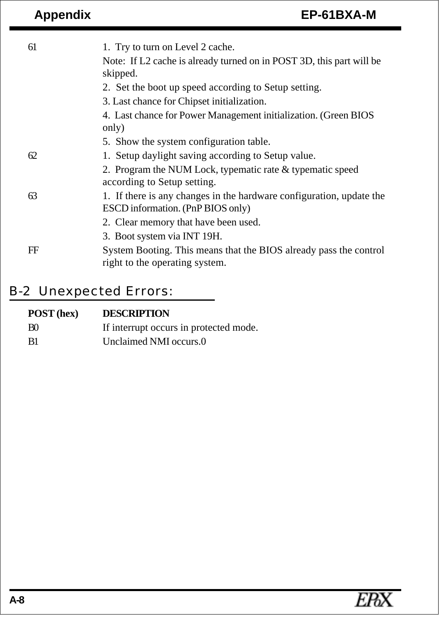| <b>Appendix</b> | EP-61BXA-M                                                                                                |
|-----------------|-----------------------------------------------------------------------------------------------------------|
| 61              | 1. Try to turn on Level 2 cache.                                                                          |
|                 | Note: If L2 cache is already turned on in POST 3D, this part will be<br>skipped.                          |
|                 | 2. Set the boot up speed according to Setup setting.                                                      |
|                 | 3. Last chance for Chipset initialization.                                                                |
|                 | 4. Last chance for Power Management initialization. (Green BIOS<br>only)                                  |
|                 | 5. Show the system configuration table.                                                                   |
| 62              | 1. Setup daylight saving according to Setup value.                                                        |
|                 | 2. Program the NUM Lock, typematic rate & typematic speed<br>according to Setup setting.                  |
| 63              | 1. If there is any changes in the hardware configuration, update the<br>ESCD information. (PnP BIOS only) |
|                 | 2. Clear memory that have been used.                                                                      |
|                 | 3. Boot system via INT 19H.                                                                               |
| $_{\rm FF}$     | System Booting. This means that the BIOS already pass the control<br>right to the operating system.       |

## B-2 Unexpected Errors:

| POST (hex) | <b>DESCRIPTION</b>                     |  |
|------------|----------------------------------------|--|
| BO.        | If interrupt occurs in protected mode. |  |
| B1         | Unclaimed NMI occurs.0                 |  |